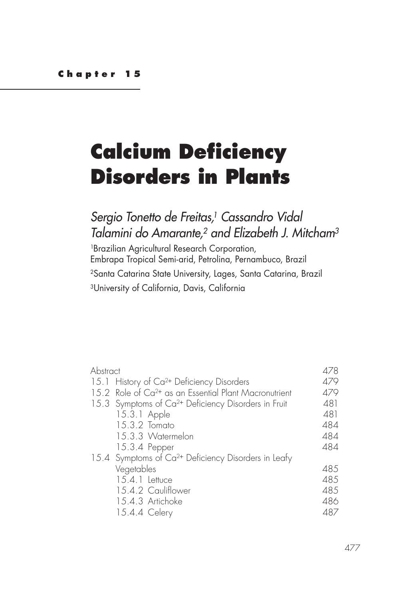# **Calcium Deficiency Disorders in Plants**

# *Sergio Tonetto de Freitas, 1 Cassandro Vidal Talamini do Amarante,2 and Elizabeth J. Mitcham3*

1Brazilian Agricultural Research Corporation, Embrapa Tropical Semi-arid, Petrolina, Pernambuco, Brazil 2Santa Catarina State University, Lages, Santa Catarina, Brazil 3University of California, Davis, California

| Abstract |                                                                   | 478 |
|----------|-------------------------------------------------------------------|-----|
|          | 15.1 History of Ca <sup>2+</sup> Deficiency Disorders             | 479 |
|          | 15.2 Role of Ca <sup>2+</sup> as an Essential Plant Macronutrient | 479 |
|          | 15.3 Symptoms of Ca <sup>2+</sup> Deficiency Disorders in Fruit   | 481 |
|          | 15.3.1 Apple                                                      | 481 |
|          | 15.3.2 Tomato                                                     | 484 |
|          | 15.3.3 Watermelon                                                 | 484 |
|          | 15.3.4 Pepper                                                     | 484 |
|          | 15.4 Symptoms of Ca <sup>2+</sup> Deficiency Disorders in Leafy   |     |
|          | Vegetables                                                        | 485 |
|          | 15.4.1 Lettuce                                                    | 485 |
|          | 15.4.2 Cauliflower                                                | 485 |
|          | 15.4.3 Artichoke                                                  | 486 |
|          | 15.4.4 Celery                                                     | 487 |
|          |                                                                   |     |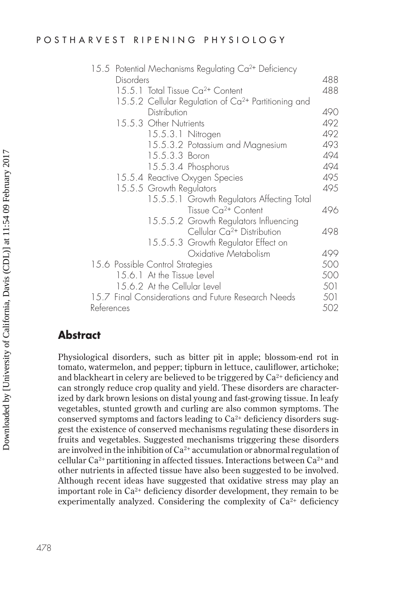#### POSTHARVEST RIPENING PHYSIOLOGY

|                                  | 15.5 Potential Mechanisms Regulating Ca <sup>2+</sup> Deficiency |     |
|----------------------------------|------------------------------------------------------------------|-----|
| Disorders                        |                                                                  | 488 |
|                                  | 15.5.1 Total Tissue Ca <sup>2+</sup> Content                     | 488 |
|                                  | 15.5.2 Cellular Regulation of Ca <sup>2+</sup> Partitioning and  |     |
| Distribution                     |                                                                  | 490 |
| 15.5.3 Other Nutrients           |                                                                  | 492 |
|                                  | 15.5.3.1 Nitrogen                                                | 492 |
|                                  | 15.5.3.2 Potassium and Magnesium                                 | 493 |
|                                  | 15.5.3.3 Boron                                                   | 494 |
|                                  | 15.5.3.4 Phosphorus                                              | 494 |
|                                  | 15.5.4 Reactive Oxygen Species                                   | 495 |
| 15.5.5 Growth Regulators         |                                                                  | 495 |
|                                  | 15.5.5.1 Growth Regulators Affecting Total                       |     |
|                                  | Tissue Ca <sup>2+</sup> Content                                  | 496 |
|                                  | 15.5.5.2 Growth Regulators Influencing                           |     |
|                                  | Cellular Ca <sup>2+</sup> Distribution                           | 498 |
|                                  | 15.5.5.3 Growth Regulator Effect on                              |     |
|                                  | Oxidative Metabolism                                             | 499 |
| 15.6 Possible Control Strategies |                                                                  | 500 |
| 15.6.1 At the Tissue Level       |                                                                  | 500 |
| 15.6.2 At the Cellular Level     |                                                                  | 501 |
|                                  | 15.7 Final Considerations and Future Research Needs              | 501 |
| References                       |                                                                  | 502 |

# **Abstract**

Physiological disorders, such as bitter pit in apple; blossom-end rot in tomato, watermelon, and pepper; tipburn in lettuce, cauliflower, artichoke; and blackheart in celery are believed to be triggered by  $Ca^{2+}$  deficiency and can strongly reduce crop quality and yield. These disorders are characterized by dark brown lesions on distal young and fast-growing tissue. In leafy vegetables, stunted growth and curling are also common symptoms. The conserved symptoms and factors leading to  $Ca^{2+}$  deficiency disorders suggest the existence of conserved mechanisms regulating these disorders in fruits and vegetables. Suggested mechanisms triggering these disorders are involved in the inhibition of  $Ca^{2+}$  accumulation or abnormal regulation of cellular  $Ca^{2+}$  partitioning in affected tissues. Interactions between  $Ca^{2+}$  and other nutrients in affected tissue have also been suggested to be involved. Although recent ideas have suggested that oxidative stress may play an important role in  $Ca^{2+}$  deficiency disorder development, they remain to be experimentally analyzed. Considering the complexity of  $Ca<sup>2+</sup>$  deficiency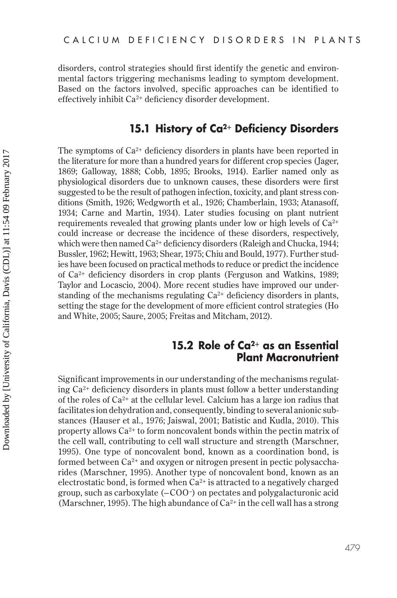disorders, control strategies should first identify the genetic and environmental factors triggering mechanisms leading to symptom development. Based on the factors involved, specific approaches can be identified to effectively inhibit Ca2+ deficiency disorder development.

# **15.1 History of Ca2+ Deficiency Disorders**

The symptoms of  $Ca^{2+}$  deficiency disorders in plants have been reported in the literature for more than a hundred years for different crop species (Jager, 1869; Galloway, 1888; Cobb, 1895; Brooks, 1914). Earlier named only as physiological disorders due to unknown causes, these disorders were first suggested to be the result of pathogen infection, toxicity, and plant stress conditions (Smith, 1926; Wedgworth et al., 1926; Chamberlain, 1933; Atanasoff, 1934; Carne and Martin, 1934). Later studies focusing on plant nutrient requirements revealed that growing plants under low or high levels of Ca2<sup>+</sup> could increase or decrease the incidence of these disorders, respectively, which were then named  $Ca^{2+}$  deficiency disorders (Raleigh and Chucka, 1944; Bussler, 1962; Hewitt, 1963; Shear, 1975; Chiu and Bould, 1977). Further studies have been focused on practical methods to reduce or predict the incidence of Ca2+ deficiency disorders in crop plants (Ferguson and Watkins, 1989; Taylor and Locascio, 2004). More recent studies have improved our understanding of the mechanisms regulating  $Ca^{2+}$  deficiency disorders in plants, setting the stage for the development of more efficient control strategies (Ho and White, 2005; Saure, 2005; Freitas and Mitcham, 2012).

# **15.2 Role of Ca2+ as an Essential Plant Macronutrient**

Significant improvements in our understanding of the mechanisms regulating  $Ca^{2+}$  deficiency disorders in plants must follow a better understanding of the roles of  $Ca^{2+}$  at the cellular level. Calcium has a large ion radius that facilitates ion dehydration and, consequently, binding to several anionic substances (Hauser et al., 1976; Jaiswal, 2001; Batistic and Kudla, 2010). This property allows  $Ca^{2+}$  to form noncovalent bonds within the pectin matrix of the cell wall, contributing to cell wall structure and strength (Marschner, 1995). One type of noncovalent bond, known as a coordination bond, is formed between  $Ca^{2+}$  and oxygen or nitrogen present in pectic polysaccharides (Marschner, 1995). Another type of noncovalent bond, known as an electrostatic bond, is formed when  $Ca^{2+}$  is attracted to a negatively charged group, such as carboxylate (−COO–) on pectates and polygalacturonic acid (Marschner, 1995). The high abundance of  $Ca^{2+}$  in the cell wall has a strong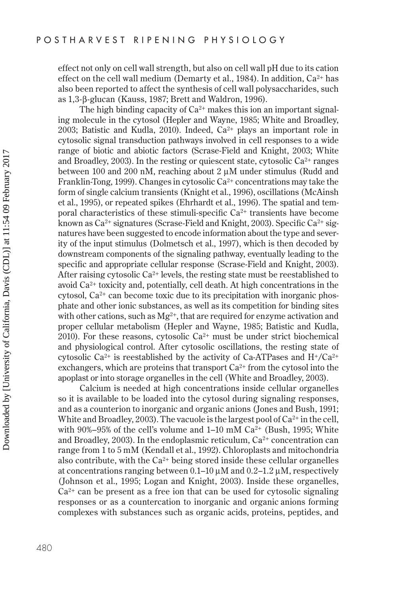effect not only on cell wall strength, but also on cell wall pH due to its cation effect on the cell wall medium (Demarty et al., 1984). In addition,  $Ca^{2+}$  has also been reported to affect the synthesis of cell wall polysaccharides, such as 1,3-β-glucan (Kauss, 1987; Brett and Waldron, 1996).

The high binding capacity of  $Ca^{2+}$  makes this ion an important signaling molecule in the cytosol (Hepler and Wayne, 1985; White and Broadley, 2003; Batistic and Kudla, 2010). Indeed,  $Ca^{2+}$  plays an important role in cytosolic signal transduction pathways involved in cell responses to a wide range of biotic and abiotic factors (Scrase-Field and Knight, 2003; White and Broadley, 2003). In the resting or quiescent state, cytosolic  $Ca^{2+}$  ranges between 100 and 200 nM, reaching about  $2 \mu$ M under stimulus (Rudd and Franklin-Tong, 1999). Changes in cytosolic  $Ca^{2+}$  concentrations may take the form of single calcium transients (Knight et al., 1996), oscillations (McAinsh et al., 1995), or repeated spikes (Ehrhardt et al., 1996). The spatial and temporal characteristics of these stimuli-specific  $Ca^{2+}$  transients have become known as  $Ca^{2+}$  signatures (Scrase-Field and Knight, 2003). Specific  $Ca^{2+}$  signatures have been suggested to encode information about the type and severity of the input stimulus (Dolmetsch et al., 1997), which is then decoded by downstream components of the signaling pathway, eventually leading to the specific and appropriate cellular response (Scrase-Field and Knight, 2003). After raising cytosolic  $Ca^{2+}$  levels, the resting state must be reestablished to avoid Ca2+ toxicity and, potentially, cell death. At high concentrations in the cytosol,  $Ca^{2+}$  can become toxic due to its precipitation with inorganic phosphate and other ionic substances, as well as its competition for binding sites with other cations, such as  $Mg^{2+}$ , that are required for enzyme activation and proper cellular metabolism (Hepler and Wayne, 1985; Batistic and Kudla, 2010). For these reasons, cytosolic  $Ca^{2+}$  must be under strict biochemical and physiological control. After cytosolic oscillations, the resting state of cytosolic Ca<sup>2+</sup> is reestablished by the activity of Ca-ATPases and  $H^+$ /Ca<sup>2+</sup> exchangers, which are proteins that transport  $Ca^{2+}$  from the cytosol into the apoplast or into storage organelles in the cell (White and Broadley, 2003).

Calcium is needed at high concentrations inside cellular organelles so it is available to be loaded into the cytosol during signaling responses, and as a counterion to inorganic and organic anions (Jones and Bush, 1991; White and Broadley, 2003). The vacuole is the largest pool of  $Ca^{2+}$  in the cell, with 90%–95% of the cell's volume and  $1-10$  mM  $Ca^{2+}$  (Bush, 1995; White and Broadley, 2003). In the endoplasmic reticulum, Ca<sup>2+</sup> concentration can range from 1 to 5 mM (Kendall et al., 1992). Chloroplasts and mitochondria also contribute, with the  $Ca^{2+}$  being stored inside these cellular organelles at concentrations ranging between  $0.1-10 \mu M$  and  $0.2-1.2 \mu M$ , respectively (Johnson et al., 1995; Logan and Knight, 2003). Inside these organelles,  $Ca<sup>2+</sup>$  can be present as a free ion that can be used for cytosolic signaling responses or as a countercation to inorganic and organic anions forming complexes with substances such as organic acids, proteins, peptides, and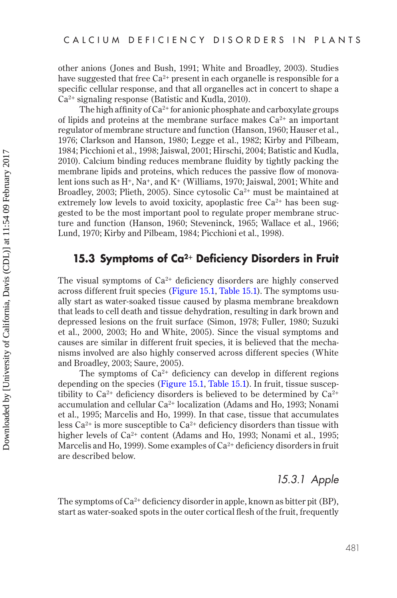The high affinity of  $Ca^{2+}$  for anionic phosphate and carboxylate groups of lipids and proteins at the membrane surface makes  $Ca^{2+}$  an important regulator of membrane structure and function (Hanson, 1960; Hauser et al., 1976; Clarkson and Hanson, 1980; Legge et al., 1982; Kirby and Pilbeam, 1984; Picchioni et al., 1998; Jaiswal, 2001; Hirschi, 2004; Batistic and Kudla, 2010). Calcium binding reduces membrane fluidity by tightly packing the membrane lipids and proteins, which reduces the passive flow of monovalent ions such as H<sup>+</sup>, Na<sup>+</sup>, and K<sup>+</sup> (Williams, 1970; Jaiswal, 2001; White and Broadley, 2003; Plieth, 2005). Since cytosolic  $Ca^{2+}$  must be maintained at extremely low levels to avoid toxicity, apoplastic free  $Ca^{2+}$  has been suggested to be the most important pool to regulate proper membrane structure and function (Hanson, 1960; Steveninck, 1965; Wallace et al., 1966; Lund, 1970; Kirby and Pilbeam, 1984; Picchioni et al., 1998).

# **15.3 Symptoms of Ca2+ Deficiency Disorders in Fruit**

The visual symptoms of  $Ca^{2+}$  deficiency disorders are highly conserved across different fruit species ([Figure 15.1,](#page-5-0) [Table 15.1\)](#page-6-0). The symptoms usually start as water-soaked tissue caused by plasma membrane breakdown that leads to cell death and tissue dehydration, resulting in dark brown and depressed lesions on the fruit surface (Simon, 1978; Fuller, 1980; Suzuki et al., 2000, 2003; Ho and White, 2005). Since the visual symptoms and causes are similar in different fruit species, it is believed that the mechanisms involved are also highly conserved across different species (White and Broadley, 2003; Saure, 2005).

The symptoms of  $Ca^{2+}$  deficiency can develop in different regions depending on the species ([Figure 15.1,](#page-5-0) [Table 15.1\)](#page-6-0). In fruit, tissue susceptibility to  $Ca^{2+}$  deficiency disorders is believed to be determined by  $Ca^{2+}$ accumulation and cellular Ca<sup>2+</sup> localization (Adams and Ho, 1993; Nonami et al., 1995; Marcelis and Ho, 1999). In that case, tissue that accumulates less  $Ca^{2+}$  is more susceptible to  $Ca^{2+}$  deficiency disorders than tissue with higher levels of Ca<sup>2+</sup> content (Adams and Ho, 1993; Nonami et al., 1995; Marcelis and Ho, 1999). Some examples of  $Ca^{2+}$  deficiency disorders in fruit are described below.

# *15.3.1 Apple*

The symptoms of Ca<sup>2+</sup> deficiency disorder in apple, known as bitter pit (BP), start as water-soaked spots in the outer cortical flesh of the fruit, frequently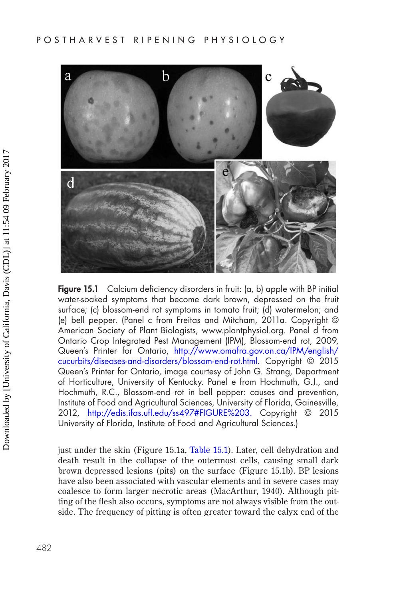<span id="page-5-0"></span>

**Figure 15.1** Calcium deficiency disorders in fruit: (a, b) apple with BP initial water-soaked symptoms that become dark brown, depressed on the fruit surface; (c) blossom-end rot symptoms in tomato fruit; (d) watermelon; and (e) bell pepper. (Panel c from Freitas and Mitcham, 2011a. Copyright © American Society of Plant Biologists, www.plantphysiol.org. Panel d from Ontario Crop Integrated Pest Management (IPM), Blossom-end rot, 2009, Queen's Printer for Ontario, [http://www.omafra.gov.on.ca/IPM/english/](http://www.omafra.gov.on.ca) [cucurbits/diseases-and-disorders/blossom-end-rot.html.](http://www.omafra.gov.on.ca) Copyright © 2015 Queen's Printer for Ontario, image courtesy of John G. Strang, Department of Horticulture, University of Kentucky. Panel e from Hochmuth, G.J., and Hochmuth, R.C., Blossom-end rot in bell pepper: causes and prevention, Institute of Food and Agricultural Sciences, University of Florida, Gainesville, 2012, [http://edis.ifas.ufl.edu/ss497#FIGURE%203.](http://edis.ifas.ufl.edu) Copyright © 2015 University of Florida, Institute of Food and Agricultural Sciences.)

just under the skin (Figure 15.1a, [Table 15.1](#page-6-0)). Later, cell dehydration and death result in the collapse of the outermost cells, causing small dark brown depressed lesions (pits) on the surface (Figure 15.1b). BP lesions have also been associated with vascular elements and in severe cases may coalesce to form larger necrotic areas (MacArthur, 1940). Although pitting of the flesh also occurs, symptoms are not always visible from the outside. The frequency of pitting is often greater toward the calyx end of the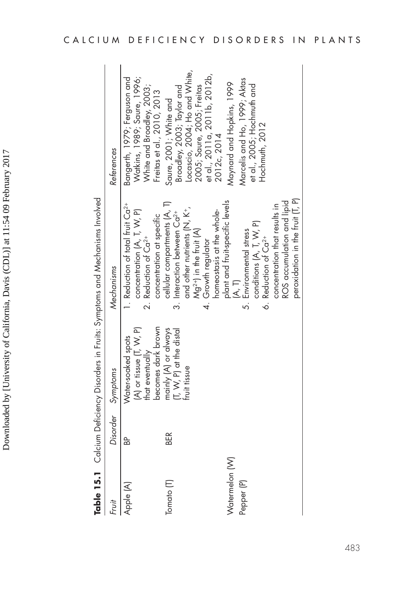<span id="page-6-0"></span>

|                              |          |                                                                                            | Table 15.1 Calcium Deficiency Disorders in Fruits: Symptoms and Mechanisms Involved                                                                                                                                                                            |                                                                                                                                                                    |
|------------------------------|----------|--------------------------------------------------------------------------------------------|----------------------------------------------------------------------------------------------------------------------------------------------------------------------------------------------------------------------------------------------------------------|--------------------------------------------------------------------------------------------------------------------------------------------------------------------|
| Fruit                        | Disorder | Symptoms                                                                                   | Mechanisms                                                                                                                                                                                                                                                     | References                                                                                                                                                         |
| Apple (A)                    | a<br>B   | becomes dark brown<br>$(A)$ or tissue $(I, W, P)$<br>Water-soaked spots<br>that eventually | 1. Reduction of total fruit Ca <sup>2+</sup><br>concentration (A, T, W, P)<br>concentration at specific<br>2. Reduction of Ca <sup>2+</sup>                                                                                                                    | Bangerth, 1979; Ferguson and<br>Natkins, 1989; Saure, 1996;<br>White and Broadley, 2003;<br>$\frac{1}{2}$ reitas et al., 2010, 2013                                |
| Tomato [T]                   | BER      | mainly (A) or always<br>T, W, P) at the distal<br>fruit tissue                             | cellular compartments (A, T)<br>and other nutrients $(\mathsf{N},\,\mathsf{K}^{\scriptscriptstyle{+}},\,$<br>homeostasis at the whole-<br>3. Interaction between Ca <sup>2+</sup><br>$Mg^{2+}$ ) in the fruit $(A)$<br>4. Growth regulator                     | Locascio, 2004; Ho and White,<br>et al., 2011a, 2011b, 2012b,<br>2005; Saure, 2005; Freitas<br>Broadley, 2003; Taylor and<br>Saure, 2001; White and<br>2012c, 2014 |
| Watermelon (W)<br>Pepper (P) |          |                                                                                            | peroxidation in the fruit [T, P)<br>plant and fruit-specific levels<br>ROS accumulation and lipid<br>concentration that results in<br>conditions (A, T, W, P)<br>5. Environmental stress<br>6. Reduction of Ca <sup>2+</sup><br>$(\overline{A}, \overline{T})$ | Marcelis and Ho, 1999; Aktas<br>Maynard and Hopkins, 1999<br>et al., 2005; Hochmuth and<br>Hochmuth, 2012                                                          |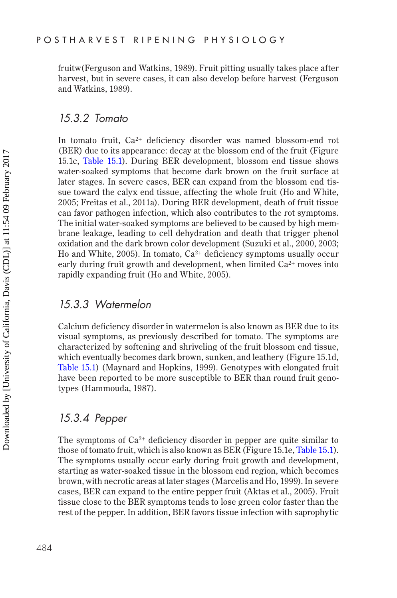fruitw(Ferguson and Watkins, 1989). Fruit pitting usually takes place after harvest, but in severe cases, it can also develop before harvest (Ferguson and Watkins, 1989).

#### *15.3.2 Tomato*

In tomato fruit, Ca<sup>2+</sup> deficiency disorder was named blossom-end rot (BER) due to its appearance: decay at the blossom end of the fruit (Figure 15.1c, [Table 15.1\)](#page-6-0). During BER development, blossom end tissue shows water-soaked symptoms that become dark brown on the fruit surface at later stages. In severe cases, BER can expand from the blossom end tissue toward the calyx end tissue, affecting the whole fruit (Ho and White, 2005; Freitas et al., 2011a). During BER development, death of fruit tissue can favor pathogen infection, which also contributes to the rot symptoms. The initial water-soaked symptoms are believed to be caused by high membrane leakage, leading to cell dehydration and death that trigger phenol oxidation and the dark brown color development (Suzuki et al., 2000, 2003; Ho and White, 2005). In tomato,  $Ca^{2+}$  deficiency symptoms usually occur early during fruit growth and development, when limited  $Ca<sup>2+</sup>$  moves into rapidly expanding fruit (Ho and White, 2005).

#### *15.3.3 Watermelon*

Calcium deficiency disorder in watermelon is also known as BER due to its visual symptoms, as previously described for tomato. The symptoms are characterized by softening and shriveling of the fruit blossom end tissue, which eventually becomes dark brown, sunken, and leathery (Figure 15.1d, [Table 15.1\)](#page-6-0) (Maynard and Hopkins, 1999). Genotypes with elongated fruit have been reported to be more susceptible to BER than round fruit genotypes (Hammouda, 1987).

# *15.3.4 Pepper*

The symptoms of  $Ca<sup>2+</sup>$  deficiency disorder in pepper are quite similar to those of tomato fruit, which is also known as BER (Figure 15.1e, [Table 15.1\)](#page-6-0). The symptoms usually occur early during fruit growth and development, starting as water-soaked tissue in the blossom end region, which becomes brown, with necrotic areas at later stages (Marcelis and Ho, 1999). In severe cases, BER can expand to the entire pepper fruit (Aktas et al., 2005). Fruit tissue close to the BER symptoms tends to lose green color faster than the rest of the pepper. In addition, BER favors tissue infection with saprophytic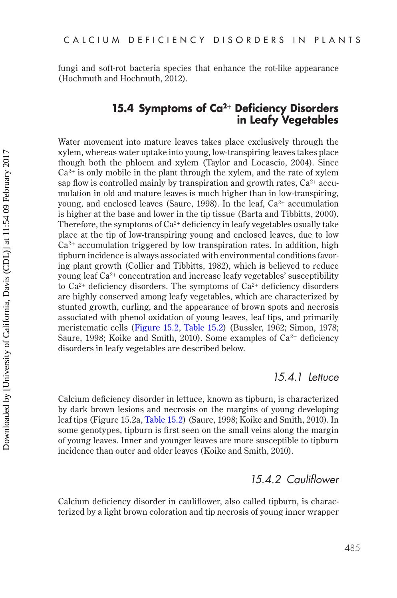fungi and soft-rot bacteria species that enhance the rot-like appearance (Hochmuth and Hochmuth, 2012).

# **15.4 Symptoms of Ca2+ Deficiency Disorders in Leafy Vegetables**

Water movement into mature leaves takes place exclusively through the xylem, whereas water uptake into young, low-transpiring leaves takes place though both the phloem and xylem (Taylor and Locascio, 2004). Since  $Ca^{2+}$  is only mobile in the plant through the xylem, and the rate of xylem sap flow is controlled mainly by transpiration and growth rates,  $Ca^{2+}$  accumulation in old and mature leaves is much higher than in low-transpiring, young, and enclosed leaves (Saure, 1998). In the leaf,  $Ca<sup>2+</sup>$  accumulation is higher at the base and lower in the tip tissue (Barta and Tibbitts, 2000). Therefore, the symptoms of  $Ca^{2+}$  deficiency in leafy vegetables usually take place at the tip of low-transpiring young and enclosed leaves, due to low  $Ca<sup>2+</sup>$  accumulation triggered by low transpiration rates. In addition, high tipburn incidence is always associated with environmental conditions favoring plant growth (Collier and Tibbitts, 1982), which is believed to reduce young leaf Ca2+ concentration and increase leafy vegetables' susceptibility to  $Ca^{2+}$  deficiency disorders. The symptoms of  $Ca^{2+}$  deficiency disorders are highly conserved among leafy vegetables, which are characterized by stunted growth, curling, and the appearance of brown spots and necrosis associated with phenol oxidation of young leaves, leaf tips, and primarily meristematic cells ([Figure 15.2,](#page-9-0) [Table 15.2\)](#page-10-0) (Bussler, 1962; Simon, 1978; Saure, 1998; Koike and Smith, 2010). Some examples of  $Ca^{2+}$  deficiency disorders in leafy vegetables are described below.

#### *15.4.1 Lettuce*

Calcium deficiency disorder in lettuce, known as tipburn, is characterized by dark brown lesions and necrosis on the margins of young developing leaf tips (Figure 15.2a, [Table 15.2](#page-10-0)) (Saure, 1998; Koike and Smith, 2010). In some genotypes, tipburn is first seen on the small veins along the margin of young leaves. Inner and younger leaves are more susceptible to tipburn incidence than outer and older leaves (Koike and Smith, 2010).

# *15.4.2 Cauliflower*

Calcium deficiency disorder in cauliflower, also called tipburn, is characterized by a light brown coloration and tip necrosis of young inner wrapper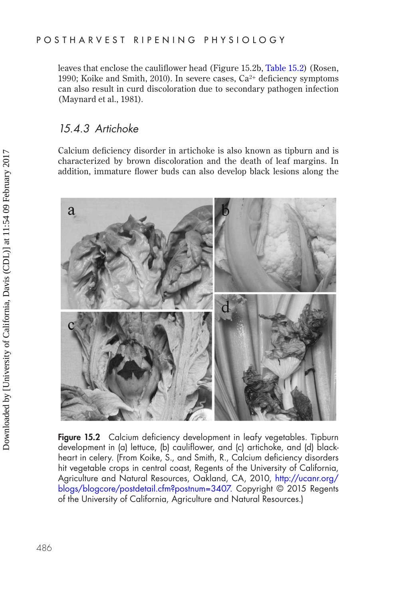<span id="page-9-0"></span>leaves that enclose the cauliflower head (Figure 15.2b, [Table 15.2\)](#page-10-0) (Rosen, 1990; Koike and Smith, 2010). In severe cases,  $Ca^{2+}$  deficiency symptoms can also result in curd discoloration due to secondary pathogen infection (Maynard et al., 1981).

# *15.4.3 Artichoke*

Calcium deficiency disorder in artichoke is also known as tipburn and is characterized by brown discoloration and the death of leaf margins. In addition, immature flower buds can also develop black lesions along the



**Figure 15.2** Calcium deficiency development in leafy vegetables. Tipburn development in (a) lettuce, (b) cauliflower, and (c) artichoke, and (d) blackheart in celery. (From Koike, S., and Smith, R., Calcium deficiency disorders hit vegetable crops in central coast, Regents of the University of California, Agriculture and Natural Resources, Oakland, CA, 2010, [http://ucanr.org/](http://ucanr.org) [blogs/blogcore/postdetail.cfm?postnum=3407.](http://ucanr.org) Copyright © 2015 Regents of the University of California, Agriculture and Natural Resources.)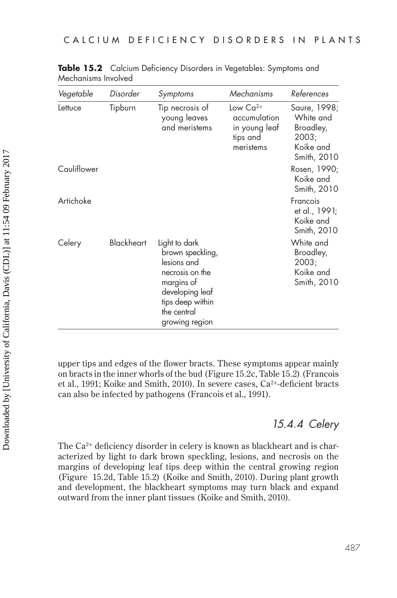| Vegetable   | Disorder   | Symptoms                                                                                                                                                  | Mechanisms                                                              | References                                                                  |
|-------------|------------|-----------------------------------------------------------------------------------------------------------------------------------------------------------|-------------------------------------------------------------------------|-----------------------------------------------------------------------------|
| Lettuce     | Tipburn    | Tip necrosis of<br>young leaves<br>and meristems                                                                                                          | Low $Ca^{2+}$<br>accumulation<br>in young leat<br>tips and<br>meristems | Saure, 1998;<br>White and<br>Broadley,<br>2003;<br>Koike and<br>Smith, 2010 |
| Cauliflower |            |                                                                                                                                                           |                                                                         | Rosen, 1990;<br>Koike and<br>Smith, 2010                                    |
| Artichoke   |            |                                                                                                                                                           |                                                                         | Francois<br>et al., 1991;<br>Koike and<br>Smith, 2010                       |
| Celery      | Blackheart | Light to dark<br>brown speckling,<br>lesions and<br>necrosis on the<br>margins of<br>developing leaf<br>tips deep within<br>the central<br>growing region |                                                                         | White and<br>Broadley,<br>2003;<br>Koike and<br>Smith, 2010                 |

<span id="page-10-0"></span>**Table 15.2** Calcium Deficiency Disorders in Vegetables: Symptoms and Mechanisms Involved

upper tips and edges of the flower bracts. These symptoms appear mainly on bracts in the inner whorls of the bud (Figure 15.2c, Table 15.2) (Francois et al., 1991; Koike and Smith, 2010). In severe cases, Ca<sup>2+</sup>-deficient bracts can also be infected by pathogens (Francois et al., 1991).

# *15.4.4 Celery*

The Ca<sup>2+</sup> deficiency disorder in celery is known as blackheart and is characterized by light to dark brown speckling, lesions, and necrosis on the margins of developing leaf tips deep within the central growing region (Figure 15.2d, Table 15.2) (Koike and Smith, 2010). During plant growth and development, the blackheart symptoms may turn black and expand outward from the inner plant tissues (Koike and Smith, 2010).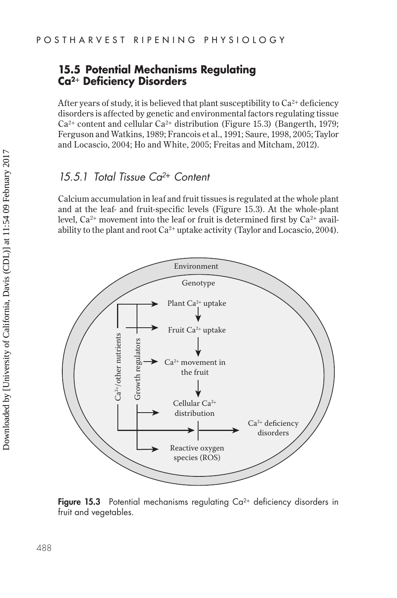# <span id="page-11-0"></span>**15.5 Potential Mechanisms Regulating Ca2+ Deficiency Disorders**

After years of study, it is believed that plant susceptibility to  $Ca^{2+}$  deficiency disorders is affected by genetic and environmental factors regulating tissue  $Ca^{2+}$  content and cellular  $Ca^{2+}$  distribution (Figure 15.3) (Bangerth, 1979; Ferguson and Watkins, 1989; Francois et al., 1991; Saure, 1998, 2005; Taylor and Locascio, 2004; Ho and White, 2005; Freitas and Mitcham, 2012).

# *15.5.1 Total Tissue Ca2***+** *Content*

Calcium accumulation in leaf and fruit tissues is regulated at the whole plant and at the leaf- and fruit-specific levels (Figure 15.3). At the whole-plant level,  $Ca^{2+}$  movement into the leaf or fruit is determined first by  $Ca^{2+}$  availability to the plant and root  $Ca^{2+}$  uptake activity (Taylor and Locascio, 2004).



**Figure 15.3** Potential mechanisms regulating  $Ca^{2+}$  deficiency disorders in fruit and vegetables.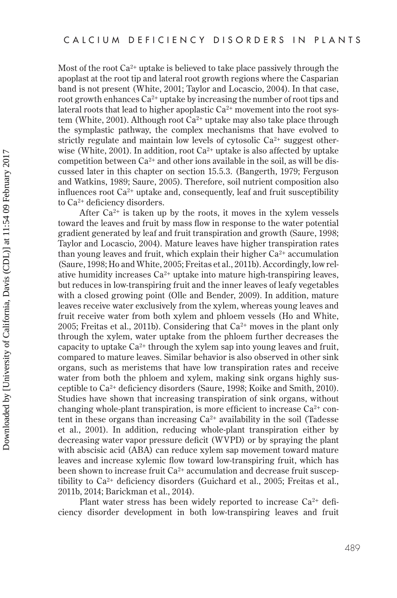Most of the root Ca2+ uptake is believed to take place passively through the apoplast at the root tip and lateral root growth regions where the Casparian band is not present (White, 2001; Taylor and Locascio, 2004). In that case, root growth enhances Ca<sup>2+</sup> uptake by increasing the number of root tips and lateral roots that lead to higher apoplastic  $Ca^{2+}$  movement into the root system (White, 2001). Although root  $Ca^{2+}$  uptake may also take place through the symplastic pathway, the complex mechanisms that have evolved to strictly regulate and maintain low levels of cytosolic  $Ca<sup>2+</sup>$  suggest otherwise (White, 2001). In addition, root  $Ca^{2+}$  uptake is also affected by uptake competition between  $Ca^{2+}$  and other ions available in the soil, as will be discussed later in this chapter on section 15.5.3. (Bangerth, 1979; Ferguson and Watkins, 1989; Saure, 2005). Therefore, soil nutrient composition also influences root  $Ca^{2+}$  uptake and, consequently, leaf and fruit susceptibility to Ca2+ deficiency disorders.

After  $Ca^{2+}$  is taken up by the roots, it moves in the xylem vessels toward the leaves and fruit by mass flow in response to the water potential gradient generated by leaf and fruit transpiration and growth (Saure, 1998; Taylor and Locascio, 2004). Mature leaves have higher transpiration rates than young leaves and fruit, which explain their higher Ca<sup>2+</sup> accumulation (Saure, 1998; Ho and White, 2005; Freitas et al., 2011b). Accordingly, low relative humidity increases  $Ca^{2+}$  uptake into mature high-transpiring leaves, but reduces in low-transpiring fruit and the inner leaves of leafy vegetables with a closed growing point (Olle and Bender, 2009). In addition, mature leaves receive water exclusively from the xylem, whereas young leaves and fruit receive water from both xylem and phloem vessels (Ho and White, 2005; Freitas et al., 2011b). Considering that  $Ca^{2+}$  moves in the plant only through the xylem, water uptake from the phloem further decreases the capacity to uptake  $Ca^{2+}$  through the xylem sap into young leaves and fruit, compared to mature leaves. Similar behavior is also observed in other sink organs, such as meristems that have low transpiration rates and receive water from both the phloem and xylem, making sink organs highly susceptible to Ca2+ deficiency disorders (Saure, 1998; Koike and Smith, 2010). Studies have shown that increasing transpiration of sink organs, without changing whole-plant transpiration, is more efficient to increase  $Ca^{2+}$  content in these organs than increasing  $Ca^{2+}$  availability in the soil (Tadesse et al., 2001). In addition, reducing whole-plant transpiration either by decreasing water vapor pressure deficit (WVPD) or by spraying the plant with abscisic acid (ABA) can reduce xylem sap movement toward mature leaves and increase xylemic flow toward low-transpiring fruit, which has been shown to increase fruit Ca<sup>2+</sup> accumulation and decrease fruit susceptibility to  $Ca^{2+}$  deficiency disorders (Guichard et al., 2005; Freitas et al., 2011b, 2014; Barickman et al., 2014).

Plant water stress has been widely reported to increase Ca2+ deficiency disorder development in both low-transpiring leaves and fruit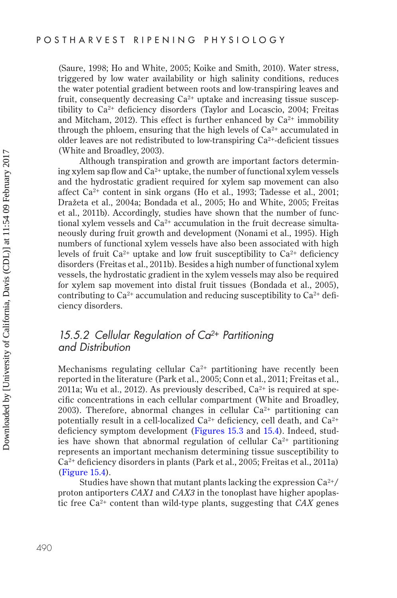(Saure, 1998; Ho and White, 2005; Koike and Smith, 2010). Water stress, triggered by low water availability or high salinity conditions, reduces the water potential gradient between roots and low-transpiring leaves and fruit, consequently decreasing  $Ca^{2+}$  uptake and increasing tissue susceptibility to  $Ca^{2+}$  deficiency disorders (Taylor and Locascio, 2004; Freitas and Mitcham, 2012). This effect is further enhanced by  $Ca^{2+}$  immobility through the phloem, ensuring that the high levels of  $Ca<sup>2+</sup>$  accumulated in older leaves are not redistributed to low-transpiring  $Ca^{2+}$ -deficient tissues (White and Broadley, 2003).

Although transpiration and growth are important factors determining xylem sap flow and  $Ca^{2+}$  uptake, the number of functional xylem vessels and the hydrostatic gradient required for xylem sap movement can also affect Ca2+ content in sink organs (Ho et al., 1993; Tadesse et al., 2001; Dražeta et al., 2004a; Bondada et al., 2005; Ho and White, 2005; Freitas et al., 2011b). Accordingly, studies have shown that the number of functional xylem vessels and  $Ca^{2+}$  accumulation in the fruit decrease simultaneously during fruit growth and development (Nonami et al., 1995). High numbers of functional xylem vessels have also been associated with high levels of fruit  $Ca^{2+}$  uptake and low fruit susceptibility to  $Ca^{2+}$  deficiency disorders (Freitas et al., 2011b). Besides a high number of functional xylem vessels, the hydrostatic gradient in the xylem vessels may also be required for xylem sap movement into distal fruit tissues (Bondada et al., 2005), contributing to  $Ca^{2+}$  accumulation and reducing susceptibility to  $Ca^{2+}$  deficiency disorders.

# *15.5.2 Cellular Regulation of Ca2***+** *Partitioning and Distribution*

Mechanisms regulating cellular  $Ca^{2+}$  partitioning have recently been reported in the literature (Park et al., 2005; Conn et al., 2011; Freitas et al., 2011a; Wu et al., 2012). As previously described,  $Ca^{2+}$  is required at specific concentrations in each cellular compartment (White and Broadley, 2003). Therefore, abnormal changes in cellular  $Ca^{2+}$  partitioning can potentially result in a cell-localized  $Ca^{2+}$  deficiency, cell death, and  $Ca^{2+}$ deficiency symptom development ([Figures 15.3](#page-11-0) and [15.4](#page-14-0)). Indeed, studies have shown that abnormal regulation of cellular  $Ca^{2+}$  partitioning represents an important mechanism determining tissue susceptibility to Ca2+ deficiency disorders in plants (Park et al., 2005; Freitas et al., 2011a) ([Figure 15.4](#page-14-0)).

Studies have shown that mutant plants lacking the expression  $Ca^{2+}/$ proton antiporters *CAX1* and *CAX3* in the tonoplast have higher apoplastic free Ca2+ content than wild-type plants, suggesting that *CAX* genes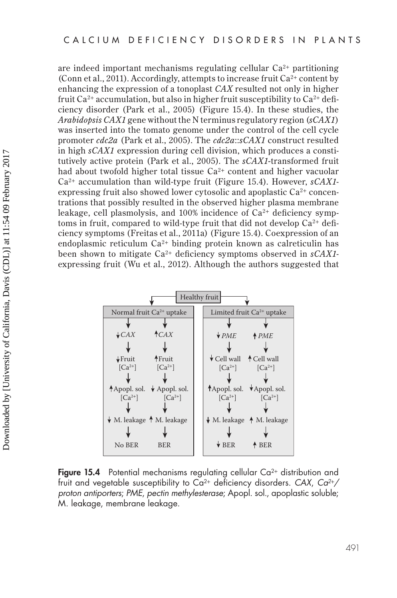<span id="page-14-0"></span>are indeed important mechanisms regulating cellular  $Ca<sup>2+</sup>$  partitioning (Conn et al., 2011). Accordingly, attempts to increase fruit  $Ca^{2+}$  content by enhancing the expression of a tonoplast *CAX* resulted not only in higher fruit  $Ca^{2+}$  accumulation, but also in higher fruit susceptibility to  $Ca^{2+}$  deficiency disorder (Park et al., 2005) (Figure 15.4). In these studies, the *Arabidopsis CAX1* gene without the N terminus regulatory region (*sCAX1*) was inserted into the tomato genome under the control of the cell cycle promoter *cdc2a* (Park et al., 2005). The *cdc2a*::*sCAX1* construct resulted in high *sCAX1* expression during cell division, which produces a constitutively active protein (Park et al., 2005). The *sCAX1-*transformed fruit had about twofold higher total tissue  $Ca^{2+}$  content and higher vacuolar Ca2+ accumulation than wild-type fruit (Figure 15.4). However, *sCAX1* expressing fruit also showed lower cytosolic and apoplastic  $Ca^{2+}$  concentrations that possibly resulted in the observed higher plasma membrane leakage, cell plasmolysis, and  $100\%$  incidence of  $Ca^{2+}$  deficiency symptoms in fruit, compared to wild-type fruit that did not develop  $Ca^{2+}$  deficiency symptoms (Freitas et al., 2011a) (Figure 15.4). Coexpression of an endoplasmic reticulum  $Ca^{2+}$  binding protein known as calreticulin has been shown to mitigate Ca2+ deficiency symptoms observed in *sCAX1* expressing fruit (Wu et al., 2012). Although the authors suggested that



**Figure 15.4** Potential mechanisms regulating cellular  $Ca^{2+}$  distribution and fruit and vegetable susceptibility to Ca2+ deficiency disorders. *CAX*, *Ca2*+*/ proton antiporters*; *PME*, *pectin methylesterase*; Apopl. sol., apoplastic soluble; M. leakage, membrane leakage.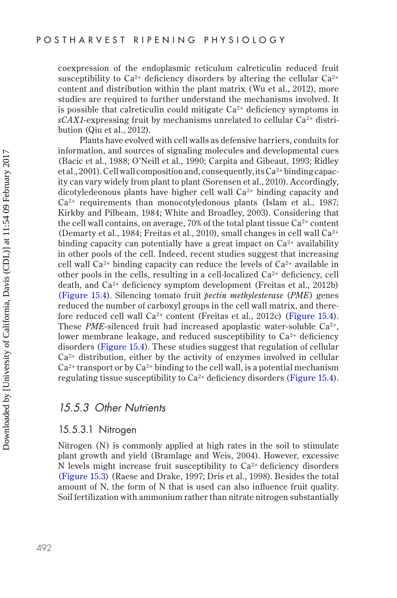coexpression of the endoplasmic reticulum calreticulin reduced fruit susceptibility to  $Ca^{2+}$  deficiency disorders by altering the cellular  $Ca^{2+}$ content and distribution within the plant matrix (Wu et al., 2012), more studies are required to further understand the mechanisms involved. It is possible that calreticulin could mitigate  $Ca^{2+}$  deficiency symptoms in  $sCAX1$ -expressing fruit by mechanisms unrelated to cellular  $Ca^{2+}$  distribution (Qiu et al., 2012).

Plants have evolved with cell walls as defensive barriers, conduits for information, and sources of signaling molecules and developmental cues (Bacic et al., 1988; O'Neill et al., 1990; Carpita and Gibeaut, 1993; Ridley et al., 2001). Cell wall composition and, consequently, its  $Ca^{2+}$  binding capacity can vary widely from plant to plant (Sorensen et al., 2010). Accordingly, dicotyledeonous plants have higher cell wall  $Ca<sup>2+</sup>$  binding capacity and  $Ca<sup>2+</sup>$  requirements than monocotyledonous plants (Islam et al., 1987; Kirkby and Pilbeam, 1984; White and Broadley, 2003). Considering that the cell wall contains, on average, 70% of the total plant tissue  $Ca^{2+}$  content (Demarty et al., 1984; Freitas et al., 2010), small changes in cell wall  $Ca^{2+}$ binding capacity can potentially have a great impact on  $Ca^{2+}$  availability in other pools of the cell. Indeed, recent studies suggest that increasing cell wall  $Ca^{2+}$  binding capacity can reduce the levels of  $Ca^{2+}$  available in other pools in the cells, resulting in a cell-localized  $Ca^{2+}$  deficiency, cell death, and Ca2+ deficiency symptom development (Freitas et al., 2012b) ([Figure 15.4\)](#page-14-0). Silencing tomato fruit *pectin methylesterase* (*PME*) genes reduced the number of carboxyl groups in the cell wall matrix, and therefore reduced cell wall  $Ca^{2+}$  content (Freitas et al., 2012c) ([Figure 15.4\)](#page-14-0). These *PME*-silenced fruit had increased apoplastic water-soluble Ca<sup>2+</sup>, lower membrane leakage, and reduced susceptibility to  $Ca<sup>2+</sup>$  deficiency disorders ([Figure 15.4\)](#page-14-0). These studies suggest that regulation of cellular  $Ca<sup>2+</sup>$  distribution, either by the activity of enzymes involved in cellular  $Ca<sup>2+</sup>$  transport or by  $Ca<sup>2+</sup>$  binding to the cell wall, is a potential mechanism regulating tissue susceptibility to  $Ca^{2+}$  deficiency disorders ([Figure 15.4\)](#page-14-0).

#### *15.5.3 Other Nutrients*

#### 15.5.3.1 Nitrogen

Nitrogen (N) is commonly applied at high rates in the soil to stimulate plant growth and yield (Bramlage and Weis, 2004). However, excessive N levels might increase fruit susceptibility to  $Ca^{2+}$  deficiency disorders ([Figure 15.3](#page-11-0)) (Raese and Drake, 1997; Dris et al., 1998). Besides the total amount of N, the form of N that is used can also influence fruit quality. Soil fertilization with ammonium rather than nitrate nitrogen substantially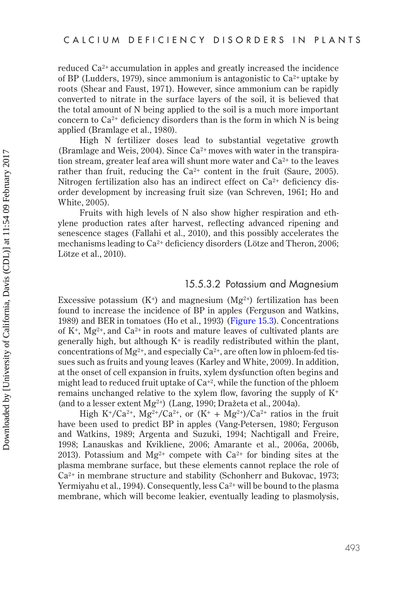reduced Ca2<sup>+</sup> accumulation in apples and greatly increased the incidence of BP (Ludders, 1979), since ammonium is antagonistic to  $Ca^{2+}$  uptake by roots (Shear and Faust, 1971). However, since ammonium can be rapidly converted to nitrate in the surface layers of the soil, it is believed that the total amount of N being applied to the soil is a much more important concern to  $Ca^{2+}$  deficiency disorders than is the form in which N is being applied (Bramlage et al., 1980).

High N fertilizer doses lead to substantial vegetative growth (Bramlage and Weis, 2004). Since  $Ca^{2+}$  moves with water in the transpiration stream, greater leaf area will shunt more water and  $Ca<sup>2+</sup>$  to the leaves rather than fruit, reducing the  $Ca^{2+}$  content in the fruit (Saure, 2005). Nitrogen fertilization also has an indirect effect on  $Ca^{2+}$  deficiency disorder development by increasing fruit size (van Schreven, 1961; Ho and White, 2005).

Fruits with high levels of N also show higher respiration and ethylene production rates after harvest, reflecting advanced ripening and senescence stages (Fallahi et al., 2010), and this possibly accelerates the mechanisms leading to  $Ca^{2+}$  deficiency disorders (Lötze and Theron, 2006; Lötze et al., 2010).

#### 15.5.3.2 Potassium and Magnesium

Excessive potassium  $(K^+)$  and magnesium  $(Mg^{2+})$  fertilization has been found to increase the incidence of BP in apples (Ferguson and Watkins, 1989) and BER in tomatoes (Ho et al., 1993) ([Figure 15.3](#page-11-0)). Concentrations of  $K^+$ ,  $Mg^{2+}$ , and  $Ca^{2+}$  in roots and mature leaves of cultivated plants are generally high, but although  $K^+$  is readily redistributed within the plant, concentrations of Mg<sup>2+</sup>, and especially Ca<sup>2+</sup>, are often low in phloem-fed tissues such as fruits and young leaves (Karley and White, 2009). In addition, at the onset of cell expansion in fruits, xylem dysfunction often begins and might lead to reduced fruit uptake of  $Ca^{+2}$ , while the function of the phloem remains unchanged relative to the xylem flow, favoring the supply of  $K^+$ (and to a lesser extent  $Mg^{2+}$ ) (Lang, 1990; Dražeta et al., 2004a).

High K<sup>+</sup>/Ca<sup>2+</sup>, Mg<sup>2+</sup>/Ca<sup>2+</sup>, or  $(K^+ + Mg^{2+})/Ca^{2+}$  ratios in the fruit have been used to predict BP in apples (Vang-Petersen, 1980; Ferguson and Watkins, 1989; Argenta and Suzuki, 1994; Nachtigall and Freire, 1998; Lanauskas and Kvikliene, 2006; Amarante et al., 2006a, 2006b, 2013). Potassium and  $Mg^{2+}$  compete with  $Ca^{2+}$  for binding sites at the plasma membrane surface, but these elements cannot replace the role of Ca2+ in membrane structure and stability (Schonherr and Bukovac, 1973; Yermiyahu et al., 1994). Consequently, less  $Ca^{2+}$  will be bound to the plasma membrane, which will become leakier, eventually leading to plasmolysis,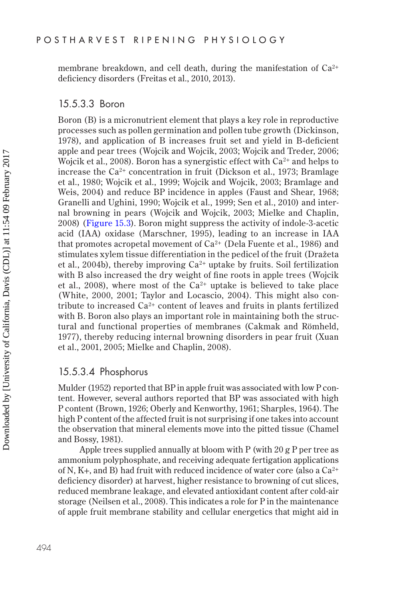membrane breakdown, and cell death, during the manifestation of  $Ca^{2+}$ deficiency disorders (Freitas et al., 2010, 2013).

#### 15.5.3.3 Boron

Boron (B) is a micronutrient element that plays a key role in reproductive processes such as pollen germination and pollen tube growth (Dickinson, 1978), and application of B increases fruit set and yield in B-deficient apple and pear trees (Wojcik and Wojcik, 2003; Wojcik and Treder, 2006; Wojcik et al., 2008). Boron has a synergistic effect with  $Ca^{2+}$  and helps to increase the  $Ca^{2+}$  concentration in fruit (Dickson et al., 1973; Bramlage et al., 1980; Wojcik et al., 1999; Wojcik and Wojcik, 2003; Bramlage and Weis, 2004) and reduce BP incidence in apples (Faust and Shear, 1968; Granelli and Ughini, 1990; Wojcik et al., 1999; Sen et al., 2010) and internal browning in pears (Wojcik and Wojcik, 2003; Mielke and Chaplin, 2008) ([Figure 15.3](#page-11-0)). Boron might suppress the activity of indole-3-acetic acid (IAA) oxidase (Marschner, 1995), leading to an increase in IAA that promotes acropetal movement of  $Ca^{2+}$  (Dela Fuente et al., 1986) and stimulates xylem tissue differentiation in the pedicel of the fruit (Dražeta et al., 2004b), thereby improving  $Ca^{2+}$  uptake by fruits. Soil fertilization with B also increased the dry weight of fine roots in apple trees (Wojcik et al., 2008), where most of the  $Ca^{2+}$  uptake is believed to take place (White, 2000, 2001; Taylor and Locascio, 2004). This might also contribute to increased  $Ca^{2+}$  content of leaves and fruits in plants fertilized with B. Boron also plays an important role in maintaining both the structural and functional properties of membranes (Cakmak and Römheld, 1977), thereby reducing internal browning disorders in pear fruit (Xuan et al., 2001, 2005; Mielke and Chaplin, 2008).

#### 15.5.3.4 Phosphorus

Mulder (1952) reported that BP in apple fruit was associated with low P content. However, several authors reported that BP was associated with high P content (Brown, 1926; Oberly and Kenworthy, 1961; Sharples, 1964). The high P content of the affected fruit is not surprising if one takes into account the observation that mineral elements move into the pitted tissue (Chamel and Bossy, 1981).

Apple trees supplied annually at bloom with P (with 20 g P per tree as ammonium polyphosphate, and receiving adequate fertigation applications of N, K+, and B) had fruit with reduced incidence of water core (also a  $Ca^{2+}$ deficiency disorder) at harvest, higher resistance to browning of cut slices, reduced membrane leakage, and elevated antioxidant content after cold-air storage (Neilsen et al., 2008). This indicates a role for P in the maintenance of apple fruit membrane stability and cellular energetics that might aid in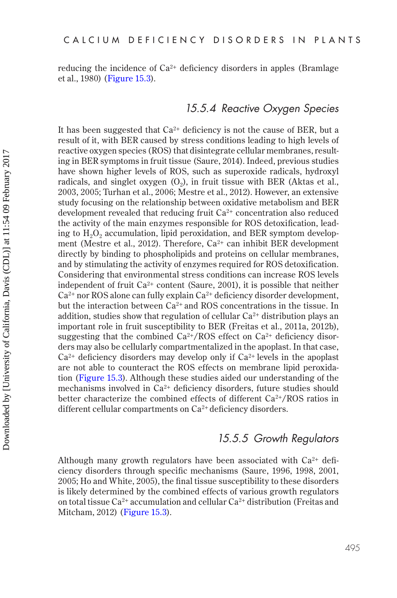reducing the incidence of  $Ca^{2+}$  deficiency disorders in apples (Bramlage et al., 1980) ([Figure 15.3](#page-11-0)).

# *15.5.4 Reactive Oxygen Species*

It has been suggested that  $Ca^{2+}$  deficiency is not the cause of BER, but a result of it, with BER caused by stress conditions leading to high levels of reactive oxygen species (ROS) that disintegrate cellular membranes, resulting in BER symptoms in fruit tissue (Saure, 2014). Indeed, previous studies have shown higher levels of ROS, such as superoxide radicals, hydroxyl radicals, and singlet oxygen  $(0_2)$ , in fruit tissue with BER (Aktas et al., 2003, 2005; Turhan et al., 2006; Mestre et al., 2012). However, an extensive study focusing on the relationship between oxidative metabolism and BER development revealed that reducing fruit  $Ca<sup>2+</sup>$  concentration also reduced the activity of the main enzymes responsible for ROS detoxification, leading to  $H_2O_2$  accumulation, lipid peroxidation, and BER symptom development (Mestre et al., 2012). Therefore,  $Ca^{2+}$  can inhibit BER development directly by binding to phospholipids and proteins on cellular membranes, and by stimulating the activity of enzymes required for ROS detoxification. Considering that environmental stress conditions can increase ROS levels independent of fruit  $Ca^{2+}$  content (Saure, 2001), it is possible that neither  $Ca^{2+}$  nor ROS alone can fully explain  $Ca^{2+}$  deficiency disorder development, but the interaction between  $Ca^{2+}$  and ROS concentrations in the tissue. In addition, studies show that regulation of cellular  $Ca^{2+}$  distribution plays an important role in fruit susceptibility to BER (Freitas et al., 2011a, 2012b), suggesting that the combined  $Ca^{2+}/ROS$  effect on  $Ca^{2+}$  deficiency disorders may also be cellularly compartmentalized in the apoplast. In that case,  $Ca<sup>2+</sup>$  deficiency disorders may develop only if  $Ca<sup>2+</sup>$  levels in the apoplast are not able to counteract the ROS effects on membrane lipid peroxidation ([Figure 15.3](#page-11-0)). Although these studies aided our understanding of the mechanisms involved in  $Ca<sup>2+</sup>$  deficiency disorders, future studies should better characterize the combined effects of different  $Ca^{2+}/ROS$  ratios in different cellular compartments on Ca2<sup>+</sup> deficiency disorders.

# *15.5.5 Growth Regulators*

Although many growth regulators have been associated with  $Ca^{2+}$  deficiency disorders through specific mechanisms (Saure, 1996, 1998, 2001, 2005; Ho and White, 2005), the final tissue susceptibility to these disorders is likely determined by the combined effects of various growth regulators on total tissue Ca2+ accumulation and cellular Ca2+ distribution (Freitas and Mitcham, 2012) ([Figure 15.3](#page-11-0)).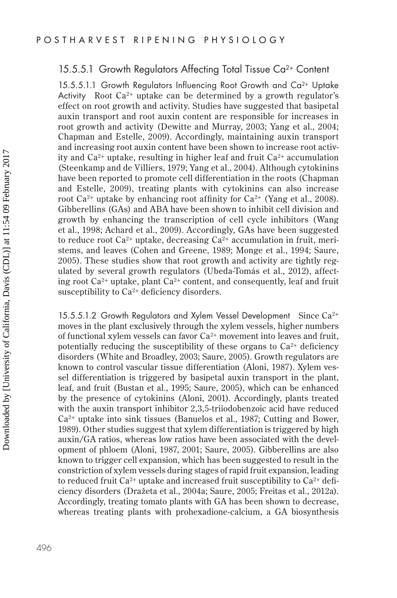#### 15.5.5.1 Growth Regulators Affecting Total Tissue Ca<sup>2+</sup> Content

15.5.5.1.1 Growth Regulators Influencing Root Growth and Ca2+ Uptake Activity Root Ca<sup>2+</sup> uptake can be determined by a growth regulator's effect on root growth and activity. Studies have suggested that basipetal auxin transport and root auxin content are responsible for increases in root growth and activity (Dewitte and Murray, 2003; Yang et al., 2004; Chapman and Estelle, 2009). Accordingly, maintaining auxin transport and increasing root auxin content have been shown to increase root activity and  $Ca^{2+}$  uptake, resulting in higher leaf and fruit  $Ca^{2+}$  accumulation (Steenkamp and de Villiers, 1979; Yang et al., 2004). Although cytokinins have been reported to promote cell differentiation in the roots (Chapman and Estelle, 2009), treating plants with cytokinins can also increase root  $Ca^{2+}$  uptake by enhancing root affinity for  $Ca^{2+}$  (Yang et al., 2008). Gibberellins (GAs) and ABA have been shown to inhibit cell division and growth by enhancing the transcription of cell cycle inhibitors (Wang et al., 1998; Achard et al., 2009). Accordingly, GAs have been suggested to reduce root  $Ca^{2+}$  uptake, decreasing  $Ca^{2+}$  accumulation in fruit, meristems, and leaves (Cohen and Greene, 1989; Monge et al., 1994; Saure, 2005). These studies show that root growth and activity are tightly regulated by several growth regulators (Ubeda-Tomás et al., 2012), affecting root  $Ca^{2+}$  uptake, plant  $Ca^{2+}$  content, and consequently, leaf and fruit susceptibility to  $Ca^{2+}$  deficiency disorders.

15.5.5.1.2 Growth Regulators and Xylem Vessel Development Since Ca2<sup>+</sup> moves in the plant exclusively through the xylem vessels, higher numbers of functional xylem vessels can favor  $Ca^{2+}$  movement into leaves and fruit, potentially reducing the susceptibility of these organs to  $Ca<sup>2+</sup>$  deficiency disorders (White and Broadley, 2003; Saure, 2005). Growth regulators are known to control vascular tissue differentiation (Aloni, 1987). Xylem vessel differentiation is triggered by basipetal auxin transport in the plant, leaf, and fruit (Bustan et al., 1995; Saure, 2005), which can be enhanced by the presence of cytokinins (Aloni, 2001). Accordingly, plants treated with the auxin transport inhibitor 2,3,5-triiodobenzoic acid have reduced  $Ca<sup>2+</sup>$  uptake into sink tissues (Banuelos et al., 1987; Cutting and Bower, 1989). Other studies suggest that xylem differentiation is triggered by high auxin/GA ratios, whereas low ratios have been associated with the development of phloem (Aloni, 1987, 2001; Saure, 2005). Gibberellins are also known to trigger cell expansion, which has been suggested to result in the constriction of xylem vessels during stages of rapid fruit expansion, leading to reduced fruit  $Ca^{2+}$  uptake and increased fruit susceptibility to  $Ca^{2+}$  deficiency disorders (Dražeta et al., 2004a; Saure, 2005; Freitas et al., 2012a). Accordingly, treating tomato plants with GA has been shown to decrease, whereas treating plants with prohexadione-calcium, a GA biosynthesis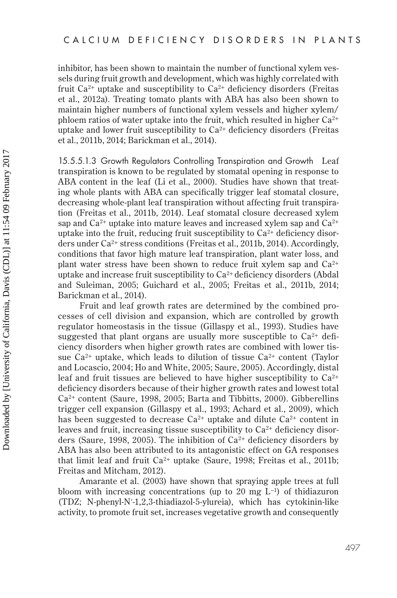inhibitor, has been shown to maintain the number of functional xylem vessels during fruit growth and development, which was highly correlated with fruit  $Ca^{2+}$  uptake and susceptibility to  $Ca^{2+}$  deficiency disorders (Freitas et al., 2012a). Treating tomato plants with ABA has also been shown to maintain higher numbers of functional xylem vessels and higher xylem/ phloem ratios of water uptake into the fruit, which resulted in higher  $Ca^{2+}$ uptake and lower fruit susceptibility to  $Ca<sup>2+</sup>$  deficiency disorders (Freitas et al., 2011b, 2014; Barickman et al., 2014).

15.5.5.1.3 Growth Regulators Controlling Transpiration and Growth Leaf transpiration is known to be regulated by stomatal opening in response to ABA content in the leaf (Li et al., 2000). Studies have shown that treating whole plants with ABA can specifically trigger leaf stomatal closure, decreasing whole-plant leaf transpiration without affecting fruit transpiration (Freitas et al., 2011b, 2014). Leaf stomatal closure decreased xylem sap and  $Ca^{2+}$  uptake into mature leaves and increased xylem sap and  $Ca^{2+}$ uptake into the fruit, reducing fruit susceptibility to  $Ca<sup>2+</sup>$  deficiency disorders under Ca2+ stress conditions (Freitas et al., 2011b, 2014). Accordingly, conditions that favor high mature leaf transpiration, plant water loss, and plant water stress have been shown to reduce fruit xylem sap and  $Ca^{2+}$ uptake and increase fruit susceptibility to  $Ca^{2+}$  deficiency disorders (Abdal and Suleiman, 2005; Guichard et al., 2005; Freitas et al., 2011b, 2014; Barickman et al., 2014).

Fruit and leaf growth rates are determined by the combined processes of cell division and expansion, which are controlled by growth regulator homeostasis in the tissue (Gillaspy et al., 1993). Studies have suggested that plant organs are usually more susceptible to  $Ca^{2+}$  deficiency disorders when higher growth rates are combined with lower tissue  $Ca^{2+}$  uptake, which leads to dilution of tissue  $Ca^{2+}$  content (Taylor and Locascio, 2004; Ho and White, 2005; Saure, 2005). Accordingly, distal leaf and fruit tissues are believed to have higher susceptibility to  $Ca^{2+}$ deficiency disorders because of their higher growth rates and lowest total Ca2+ content (Saure, 1998, 2005; Barta and Tibbitts, 2000). Gibberellins trigger cell expansion (Gillaspy et al., 1993; Achard et al., 2009), which has been suggested to decrease  $Ca^{2+}$  uptake and dilute  $Ca^{2+}$  content in leaves and fruit, increasing tissue susceptibility to  $Ca<sup>2+</sup>$  deficiency disorders (Saure, 1998, 2005). The inhibition of  $Ca^{2+}$  deficiency disorders by ABA has also been attributed to its antagonistic effect on GA responses that limit leaf and fruit  $Ca^{2+}$  uptake (Saure, 1998; Freitas et al., 2011b; Freitas and Mitcham, 2012).

Amarante et al. (2003) have shown that spraying apple trees at full bloom with increasing concentrations (up to 20 mg  $L^{-1}$ ) of thidiazuron (TDZ; N-phenyl-N′-1,2,3-thiadiazol-5-ylureia), which has cytokinin-like activity, to promote fruit set, increases vegetative growth and consequently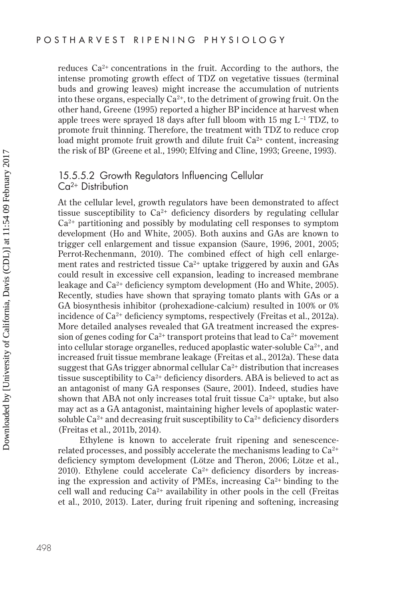reduces  $Ca^{2+}$  concentrations in the fruit. According to the authors, the intense promoting growth effect of TDZ on vegetative tissues (terminal buds and growing leaves) might increase the accumulation of nutrients into these organs, especially  $Ca^{2+}$ , to the detriment of growing fruit. On the other hand, Greene (1995) reported a higher BP incidence at harvest when apple trees were sprayed 18 days after full bloom with 15 mg L−1 TDZ, to promote fruit thinning. Therefore, the treatment with TDZ to reduce crop load might promote fruit growth and dilute fruit  $Ca<sup>2+</sup>$  content, increasing the risk of BP (Greene et al., 1990; Elfving and Cline, 1993; Greene, 1993).

#### 15.5.5.2 Growth Regulators Influencing Cellular Ca2+ Distribution

At the cellular level, growth regulators have been demonstrated to affect tissue susceptibility to  $Ca^{2+}$  deficiency disorders by regulating cellular  $Ca<sup>2+</sup>$  partitioning and possibly by modulating cell responses to symptom development (Ho and White, 2005). Both auxins and GAs are known to trigger cell enlargement and tissue expansion (Saure, 1996, 2001, 2005; Perrot-Rechenmann, 2010). The combined effect of high cell enlargement rates and restricted tissue  $Ca^{2+}$  uptake triggered by auxin and GAs could result in excessive cell expansion, leading to increased membrane leakage and Ca2+ deficiency symptom development (Ho and White, 2005). Recently, studies have shown that spraying tomato plants with GAs or a GA biosynthesis inhibitor (prohexadione-calcium) resulted in 100% or 0% incidence of Ca<sup>2+</sup> deficiency symptoms, respectively (Freitas et al., 2012a). More detailed analyses revealed that GA treatment increased the expression of genes coding for  $Ca^{2+}$  transport proteins that lead to  $Ca^{2+}$  movement into cellular storage organelles, reduced apoplastic water-soluble  $Ca^{2+}$ , and increased fruit tissue membrane leakage (Freitas et al., 2012a). These data suggest that GAs trigger abnormal cellular  $Ca^{2+}$  distribution that increases tissue susceptibility to  $Ca^{2+}$  deficiency disorders. ABA is believed to act as an antagonist of many GA responses (Saure, 2001). Indeed, studies have shown that ABA not only increases total fruit tissue  $Ca^{2+}$  uptake, but also may act as a GA antagonist, maintaining higher levels of apoplastic watersoluble  $Ca^{2+}$  and decreasing fruit susceptibility to  $Ca^{2+}$  deficiency disorders (Freitas et al., 2011b, 2014).

Ethylene is known to accelerate fruit ripening and senescencerelated processes, and possibly accelerate the mechanisms leading to  $Ca^{2+}$ deficiency symptom development (Lötze and Theron, 2006; Lötze et al., 2010). Ethylene could accelerate  $Ca^{2+}$  deficiency disorders by increasing the expression and activity of PMEs, increasing  $Ca^{2+}$  binding to the cell wall and reducing  $Ca^{2+}$  availability in other pools in the cell (Freitas et al., 2010, 2013). Later, during fruit ripening and softening, increasing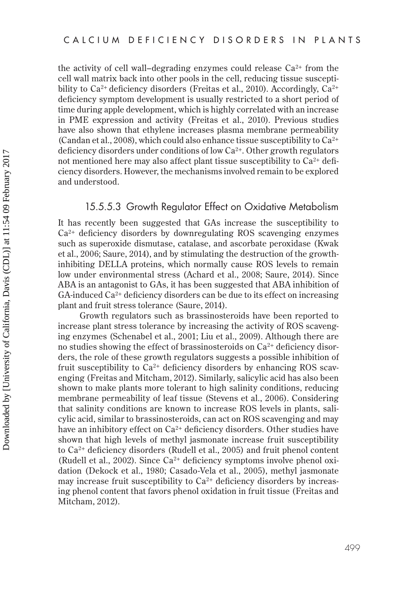the activity of cell wall–degrading enzymes could release  $Ca^{2+}$  from the cell wall matrix back into other pools in the cell, reducing tissue susceptibility to  $Ca^{2+}$  deficiency disorders (Freitas et al., 2010). Accordingly,  $Ca^{2+}$ deficiency symptom development is usually restricted to a short period of time during apple development, which is highly correlated with an increase in PME expression and activity (Freitas et al., 2010). Previous studies have also shown that ethylene increases plasma membrane permeability (Candan et al., 2008), which could also enhance tissue susceptibility to  $Ca^{2+}$ deficiency disorders under conditions of low  $Ca^{2+}$ . Other growth regulators not mentioned here may also affect plant tissue susceptibility to  $Ca<sup>2+</sup>$  deficiency disorders. However, the mechanisms involved remain to be explored and understood.

# 15.5.5.3 Growth Regulator Effect on Oxidative Metabolism

It has recently been suggested that GAs increase the susceptibility to Ca2+ deficiency disorders by downregulating ROS scavenging enzymes such as superoxide dismutase, catalase, and ascorbate peroxidase (Kwak et al., 2006; Saure, 2014), and by stimulating the destruction of the growthinhibiting DELLA proteins, which normally cause ROS levels to remain low under environmental stress (Achard et al., 2008; Saure, 2014). Since ABA is an antagonist to GAs, it has been suggested that ABA inhibition of  $GA$ -induced  $Ca<sup>2+</sup>$  deficiency disorders can be due to its effect on increasing plant and fruit stress tolerance (Saure, 2014).

Growth regulators such as brassinosteroids have been reported to increase plant stress tolerance by increasing the activity of ROS scavenging enzymes (Schenabel et al., 2001; Liu et al., 2009). Although there are no studies showing the effect of brassinosteroids on  $Ca<sup>2+</sup>$  deficiency disorders, the role of these growth regulators suggests a possible inhibition of fruit susceptibility to  $Ca^{2+}$  deficiency disorders by enhancing ROS scavenging (Freitas and Mitcham, 2012). Similarly, salicylic acid has also been shown to make plants more tolerant to high salinity conditions, reducing membrane permeability of leaf tissue (Stevens et al., 2006). Considering that salinity conditions are known to increase ROS levels in plants, salicylic acid, similar to brassinosteroids, can act on ROS scavenging and may have an inhibitory effect on  $Ca^{2+}$  deficiency disorders. Other studies have shown that high levels of methyl jasmonate increase fruit susceptibility to Ca2+ deficiency disorders (Rudell et al., 2005) and fruit phenol content (Rudell et al., 2002). Since  $Ca^{2+}$  deficiency symptoms involve phenol oxidation (Dekock et al., 1980; Casado-Vela et al., 2005), methyl jasmonate may increase fruit susceptibility to  $Ca^{2+}$  deficiency disorders by increasing phenol content that favors phenol oxidation in fruit tissue (Freitas and Mitcham, 2012).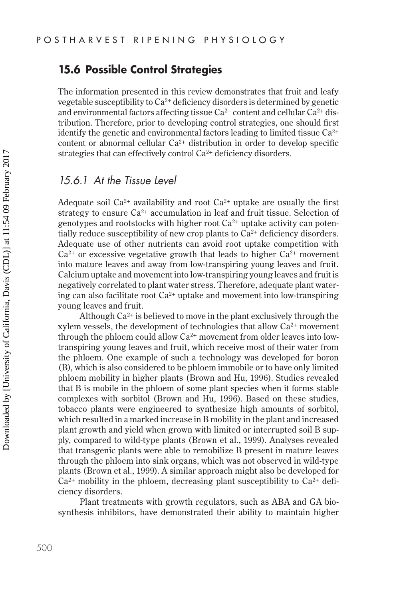# **15.6 Possible Control Strategies**

The information presented in this review demonstrates that fruit and leafy vegetable susceptibility to  $Ca^{2+}$  deficiency disorders is determined by genetic and environmental factors affecting tissue  $Ca^{2+}$  content and cellular  $Ca^{2+}$  distribution. Therefore, prior to developing control strategies, one should first identify the genetic and environmental factors leading to limited tissue  $Ca^{2+}$ content or abnormal cellular Ca2+ distribution in order to develop specific strategies that can effectively control  $Ca^{2+}$  deficiency disorders.

# *15.6.1 At the Tissue Level*

Adequate soil Ca<sup>2+</sup> availability and root Ca<sup>2+</sup> uptake are usually the first strategy to ensure  $Ca^{2+}$  accumulation in leaf and fruit tissue. Selection of genotypes and rootstocks with higher root  $Ca^{2+}$  uptake activity can potentially reduce susceptibility of new crop plants to  $Ca<sup>2+</sup>$  deficiency disorders. Adequate use of other nutrients can avoid root uptake competition with  $Ca<sup>2+</sup>$  or excessive vegetative growth that leads to higher  $Ca<sup>2+</sup>$  movement into mature leaves and away from low-transpiring young leaves and fruit. Calcium uptake and movement into low-transpiring young leaves and fruit is negatively correlated to plant water stress. Therefore, adequate plant watering can also facilitate root  $Ca^{2+}$  uptake and movement into low-transpiring young leaves and fruit.

Although  $Ca^{2+}$  is believed to move in the plant exclusively through the xylem vessels, the development of technologies that allow Ca2+ movement through the phloem could allow  $Ca^{2+}$  movement from older leaves into lowtranspiring young leaves and fruit, which receive most of their water from the phloem. One example of such a technology was developed for boron (B), which is also considered to be phloem immobile or to have only limited phloem mobility in higher plants (Brown and Hu, 1996). Studies revealed that B is mobile in the phloem of some plant species when it forms stable complexes with sorbitol (Brown and Hu, 1996). Based on these studies, tobacco plants were engineered to synthesize high amounts of sorbitol, which resulted in a marked increase in B mobility in the plant and increased plant growth and yield when grown with limited or interrupted soil B supply, compared to wild-type plants (Brown et al., 1999). Analyses revealed that transgenic plants were able to remobilize B present in mature leaves through the phloem into sink organs, which was not observed in wild-type plants (Brown et al., 1999). A similar approach might also be developed for  $Ca<sup>2+</sup>$  mobility in the phloem, decreasing plant susceptibility to  $Ca<sup>2+</sup>$  deficiency disorders.

Plant treatments with growth regulators, such as ABA and GA biosynthesis inhibitors, have demonstrated their ability to maintain higher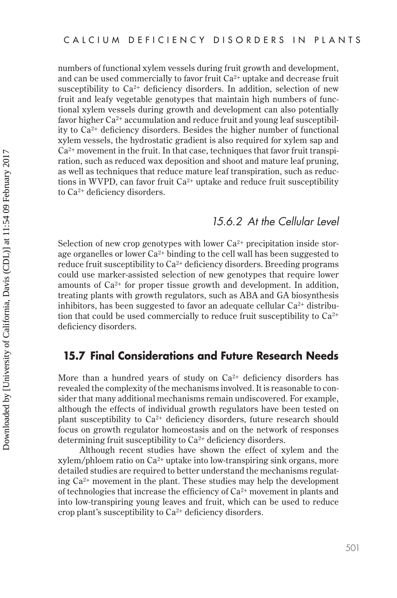numbers of functional xylem vessels during fruit growth and development, and can be used commercially to favor fruit  $Ca^{2+}$  uptake and decrease fruit susceptibility to  $Ca^{2+}$  deficiency disorders. In addition, selection of new fruit and leafy vegetable genotypes that maintain high numbers of functional xylem vessels during growth and development can also potentially favor higher  $Ca^{2+}$  accumulation and reduce fruit and young leaf susceptibility to Ca2+ deficiency disorders. Besides the higher number of functional xylem vessels, the hydrostatic gradient is also required for xylem sap and  $Ca<sup>2+</sup>$  movement in the fruit. In that case, techniques that favor fruit transpiration, such as reduced wax deposition and shoot and mature leaf pruning, as well as techniques that reduce mature leaf transpiration, such as reductions in WVPD, can favor fruit  $Ca^{2+}$  uptake and reduce fruit susceptibility to Ca2+ deficiency disorders.

# *15.6.2 At the Cellular Level*

Selection of new crop genotypes with lower  $Ca^{2+}$  precipitation inside storage organelles or lower  $Ca^{2+}$  binding to the cell wall has been suggested to reduce fruit susceptibility to  $Ca^{2+}$  deficiency disorders. Breeding programs could use marker-assisted selection of new genotypes that require lower amounts of  $Ca^{2+}$  for proper tissue growth and development. In addition, treating plants with growth regulators, such as ABA and GA biosynthesis inhibitors, has been suggested to favor an adequate cellular  $Ca^{2+}$  distribution that could be used commercially to reduce fruit susceptibility to  $Ca^{2+}$ deficiency disorders.

# **15.7 Final Considerations and Future Research Needs**

More than a hundred years of study on  $Ca^{2+}$  deficiency disorders has revealed the complexity of the mechanisms involved. It is reasonable to consider that many additional mechanisms remain undiscovered. For example, although the effects of individual growth regulators have been tested on plant susceptibility to  $Ca^{2+}$  deficiency disorders, future research should focus on growth regulator homeostasis and on the network of responses determining fruit susceptibility to Ca2+ deficiency disorders.

Although recent studies have shown the effect of xylem and the xylem/phloem ratio on  $Ca^{2+}$  uptake into low-transpiring sink organs, more detailed studies are required to better understand the mechanisms regulating  $Ca<sup>2+</sup>$  movement in the plant. These studies may help the development of technologies that increase the efficiency of  $Ca^{2+}$  movement in plants and into low-transpiring young leaves and fruit, which can be used to reduce crop plant's susceptibility to  $Ca^{2+}$  deficiency disorders.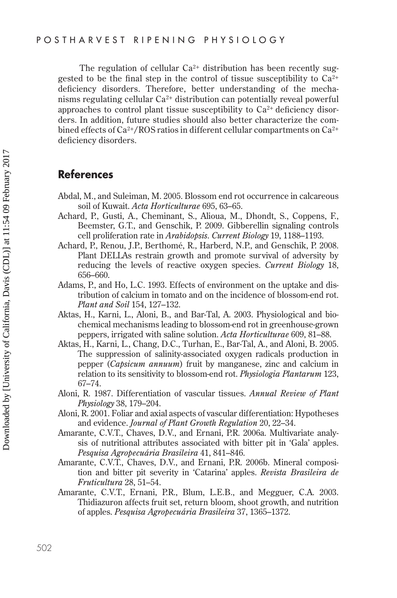The regulation of cellular  $Ca^{2+}$  distribution has been recently suggested to be the final step in the control of tissue susceptibility to  $Ca^{2+}$ deficiency disorders. Therefore, better understanding of the mechanisms regulating cellular Ca2+ distribution can potentially reveal powerful approaches to control plant tissue susceptibility to  $Ca<sup>2+</sup>$  deficiency disorders. In addition, future studies should also better characterize the combined effects of  $Ca^{2+}/ROS$  ratios in different cellular compartments on  $Ca^{2+}$ deficiency disorders.

# **References**

- Abdal, M., and Suleiman, M. 2005. Blossom end rot occurrence in calcareous soil of Kuwait. *Acta Horticulturae* 695, 63–65.
- Achard, P., Gusti, A., Cheminant, S., Alioua, M., Dhondt, S., Coppens, F., Beemster, G.T., and Genschik, P. 2009. Gibberellin signaling controls cell proliferation rate in *Arabidopsis*. *Current Biology* 19, 1188–1193.
- Achard, P., Renou, J.P., Berthomé, R., Harberd, N.P., and Genschik, P. 2008. Plant DELLAs restrain growth and promote survival of adversity by reducing the levels of reactive oxygen species. *Current Biology* 18, 656–660.
- Adams, P., and Ho, L.C. 1993. Effects of environment on the uptake and distribution of calcium in tomato and on the incidence of blossom-end rot. *Plant and Soil* 154, 127–132.
- Aktas, H., Karni, L., Aloni, B., and Bar-Tal, A. 2003. Physiological and biochemical mechanisms leading to blossom-end rot in greenhouse-grown peppers, irrigated with saline solution. *Acta Horticulturae* 609, 81–88.
- Aktas, H., Karni, L., Chang, D.C., Turhan, E., Bar-Tal, A., and Aloni, B. 2005. The suppression of salinity-associated oxygen radicals production in pepper (*Capsicum annuum*) fruit by manganese, zinc and calcium in relation to its sensitivity to blossom-end rot. *Physiologia Plantarum* 123, 67–74.
- Aloni, R. 1987. Differentiation of vascular tissues. *Annual Review of Plant Physiology* 38, 179–204.
- Aloni, R. 2001. Foliar and axial aspects of vascular differentiation: Hypotheses and evidence. *Journal of Plant Growth Regulation* 20, 22–34.
- Amarante, C.V.T., Chaves, D.V., and Ernani, P.R. 2006a. Multivariate analysis of nutritional attributes associated with bitter pit in 'Gala' apples. *Pesquisa Agropecuária Brasileira* 41, 841–846.
- Amarante, C.V.T., Chaves, D.V., and Ernani, P.R. 2006b. Mineral composition and bitter pit severity in 'Catarina' apples. *Revista Brasileira de Fruticultura* 28, 51–54.
- Amarante, C.V.T., Ernani, P.R., Blum, L.E.B., and Megguer, C.A. 2003. Thidiazuron affects fruit set, return bloom, shoot growth, and nutrition of apples. *Pesquisa Agropecuária Brasileira* 37, 1365–1372.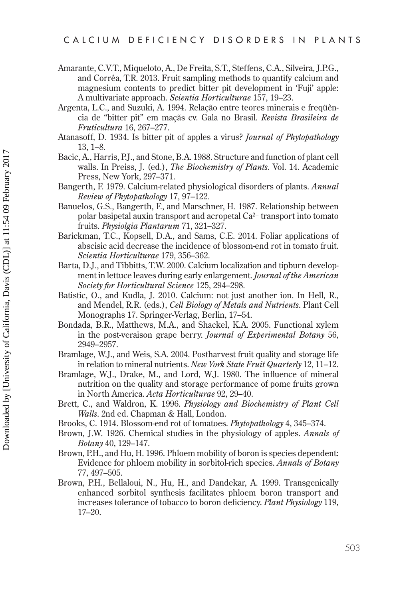- Amarante, C.V.T., Miqueloto, A., De Freita, S.T., Steffens, C.A., Silveira, J.P.G., and Corrêa, T.R. 2013. Fruit sampling methods to quantify calcium and magnesium contents to predict bitter pit development in 'Fuji' apple: A multivariate approach. Scientia Horticulturae 157, 19-23.
- Argenta, L.C., and Suzuki, A. 1994. Relação entre teores minerais e frequência de "bitter pit" em maçãs cv. Gala no Brasil. Revista Brasileira de Fruticultura 16, 267–277.
- Atanasoff, D. 1934. Is bitter pit of apples a virus? *Journal of Phytopathology*  $13, 1 - 8.$
- Bacic, A., Harris, P.J., and Stone, B.A. 1988. Structure and function of plant cell walls. In Preiss, J. (ed.), The Biochemistry of Plants. Vol. 14. Academic Press, New York, 297–371.
- Bangerth, F. 1979. Calcium-related physiological disorders of plants. Annual Review of Phytopathology 17, 97-122.
- Banuelos, G.S., Bangerth, F., and Marschner, H. 1987. Relationship between polar basipetal auxin transport and acropetal Ca<sup>2+</sup> transport into tomato fruits. Physiolgia Plantarum 71, 321-327.
- Barickman, T.C., Kopsell, D.A., and Sams, C.E. 2014. Foliar applications of abscisic acid decrease the incidence of blossom-end rot in tomato fruit. Scientia Horticulturae 179, 356–362.
- Barta, D.J., and Tibbitts, T.W. 2000. Calcium localization and tipburn development in lettuce leaves during early enlargement. *Journal of the American* Society for Horticultural Science 125, 294-298.
- Batistic, O., and Kudla, J. 2010. Calcium: not just another ion. In Hell, R., and Mendel, R.R. (eds.), *Cell Biology of Metals and Nutrients*. Plant Cell Monographs 17. Springer-Verlag, Berlin, 17–54.
- Bondada, B.R., Matthews, M.A., and Shackel, K.A. 2005. Functional xylem in the post-veraison grape berry. Journal of Experimental Botany 56, 2949-2957.
- Bramlage, W.J., and Weis, S.A. 2004. Postharvest fruit quality and storage life in relation to mineral nutrients. New York State Fruit Quarterly 12, 11–12.
- Bramlage, W.J., Drake, M., and Lord, W.J. 1980. The influence of mineral nutrition on the quality and storage performance of pome fruits grown in North America. Acta Horticulturae 92, 29-40.
- Brett, C., and Waldron, K. 1996. Physiology and Biochemistry of Plant Cell Walls. 2nd ed. Chapman & Hall, London.
- Brooks, C. 1914. Blossom-end rot of tomatoes. Phytopathology 4, 345–374.
- Brown, J.W. 1926. Chemical studies in the physiology of apples. Annals of *Botany* 40, 129–147.
- Brown, P.H., and Hu, H. 1996. Phloem mobility of boron is species dependent: Evidence for phloem mobility in sorbitol-rich species. Annals of Botany 77, 497–505.
- Brown, P.H., Bellaloui, N., Hu, H., and Dandekar, A. 1999. Transgenically enhanced sorbitol synthesis facilitates phloem boron transport and increases tolerance of tobacco to boron deficiency. Plant Physiology 119,  $17 - 20.$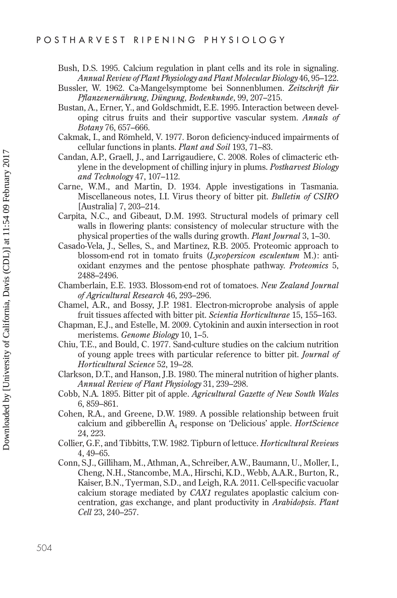Bush, D.S. 1995. Calcium regulation in plant cells and its role in signaling. *Annual Review of Plant Physiology and Plant Molecular Biology* 46, 95–122.

- Bussler, W. 1962. Ca-Mangelsymptome bei Sonnenblumen. *Zeitschrift für Pflanzenernährung, Düngung, Bodenkunde*, 99, 207–215.
- Bustan, A., Erner, Y., and Goldschmidt, E.E. 1995. Interaction between developing citrus fruits and their supportive vascular system. *Annals of Botany* 76, 657–666.
- Cakmak, I., and Römheld, V. 1977. Boron deficiency-induced impairments of cellular functions in plants. *Plant and Soil* 193, 71–83.
- Candan, A.P., Graell, J., and Larrigaudiere, C. 2008. Roles of climacteric ethylene in the development of chilling injury in plums. *Postharvest Biology and Technology* 47, 107–112.
- Carne, W.M., and Martin, D. 1934. Apple investigations in Tasmania. Miscellaneous notes, I.I. Virus theory of bitter pit. *Bulletin of CSIRO* [Australia] 7, 203–214.
- Carpita, N.C., and Gibeaut, D.M. 1993. Structural models of primary cell walls in flowering plants: consistency of molecular structure with the physical properties of the walls during growth. *Plant Journal* 3, 1–30.
- Casado-Vela, J., Selles, S., and Martinez, R.B. 2005. Proteomic approach to blossom-end rot in tomato fruits (*Lycopersicon esculentum* M.): antioxidant enzymes and the pentose phosphate pathway. *Proteomics* 5, 2488–2496.
- Chamberlain, E.E. 1933. Blossom-end rot of tomatoes. *New Zealand Journal of Agricultural Research* 46, 293–296.
- Chamel, A.R., and Bossy, J.P. 1981. Electron-microprobe analysis of apple fruit tissues affected with bitter pit. *Scientia Horticulturae* 15, 155–163.
- Chapman, E.J., and Estelle, M. 2009. Cytokinin and auxin intersection in root meristems. *Genome Biology* 10, 1–5.
- Chiu, T.E., and Bould, C. 1977. Sand-culture studies on the calcium nutrition of young apple trees with particular reference to bitter pit. *Journal of Horticultural Science* 52, 19–28.
- Clarkson, D.T., and Hanson, J.B. 1980. The mineral nutrition of higher plants. *Annual Review of Plant Physiology* 31, 239–298.
- Cobb, N.A. 1895. Bitter pit of apple. *Agricultural Gazette of New South Wales* 6, 859–861.
- Cohen, R.A., and Greene, D.W. 1989. A possible relationship between fruit calcium and gibberellin A4 response on 'Delicious' apple. *HortScience* 24, 223.
- Collier, G.F., and Tibbitts, T.W. 1982. Tipburn of lettuce. *Horticultural Reviews* 4, 49–65.
- Conn, S.J., Gilliham, M., Athman, A., Schreiber, A.W., Baumann, U., Moller, I., Cheng, N.H., Stancombe, M.A., Hirschi, K.D., Webb, A.A.R., Burton, R., Kaiser, B.N., Tyerman, S.D., and Leigh, R.A. 2011. Cell-specific vacuolar calcium storage mediated by *CAX1* regulates apoplastic calcium concentration, gas exchange, and plant productivity in *Arabidopsis*. *Plant Cell* 23, 240–257.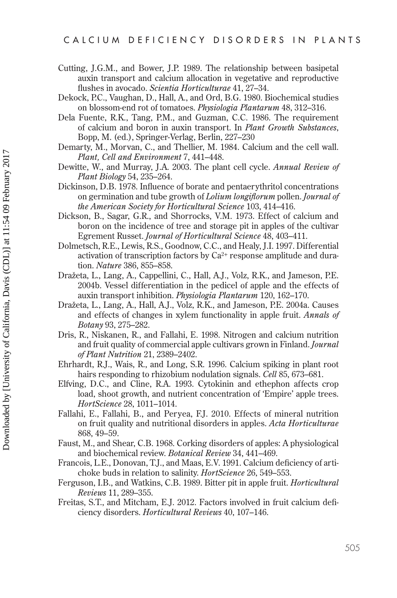- Cutting, J.G.M., and Bower, J.P. 1989. The relationship between basipetal auxin transport and calcium allocation in vegetative and reproductive flushes in avocado. Scientia Horticulturae 41, 27-34.
- Dekock, P.C., Vaughan, D., Hall, A., and Ord, B.G. 1980. Biochemical studies on blossom-end rot of tomatoes. Physiologia Plantarum 48, 312-316.
- Dela Fuente, R.K., Tang, P.M., and Guzman, C.C. 1986. The requirement of calcium and boron in auxin transport. In Plant Growth Substances, Bopp, M. (ed.), Springer-Verlag, Berlin, 227–230
- Demarty, M., Morvan, C., and Thellier, M. 1984. Calcium and the cell wall. Plant, Cell and Environment 7, 441-448.
- Dewitte, W., and Murray, J.A. 2003. The plant cell cycle. Annual Review of Plant Biology 54, 235-264.
- Dickinson, D.B. 1978. Influence of borate and pentaerythritol concentrations on germination and tube growth of *Lolium longiflorum* pollen. *Journal of* the American Society for Horticultural Science 103, 414-416.
- Dickson, B., Sagar, G.R., and Shorrocks, V.M. 1973. Effect of calcium and boron on the incidence of tree and storage pit in apples of the cultivar Egrement Russet. Journal of Horticultural Science 48, 403-411.
- Dolmetsch, R.E., Lewis, R.S., Goodnow, C.C., and Healy, J.I. 1997. Differential activation of transcription factors by  $Ca^{2+}$  response amplitude and duration. Nature 386, 855-858.
- Dražeta, L., Lang, A., Cappellini, C., Hall, A.J., Volz, R.K., and Jameson, P.E. 2004b. Vessel differentiation in the pedicel of apple and the effects of auxin transport inhibition. *Physiologia Plantarum* 120, 162–170.
- Dražeta, L., Lang, A., Hall, A.J., Volz, R.K., and Jameson, P.E. 2004a. Causes and effects of changes in xylem functionality in apple fruit. Annals of Botany 93, 275-282.
- Dris, R., Niskanen, R., and Fallahi, E. 1998. Nitrogen and calcium nutrition and fruit quality of commercial apple cultivars grown in Finland. Journal of Plant Nutrition 21, 2389-2402.
- Ehrhardt, R.J., Wais, R., and Long, S.R. 1996. Calcium spiking in plant root hairs responding to rhizobium nodulation signals. Cell 85, 673-681.
- Elfving, D.C., and Cline, R.A. 1993. Cytokinin and ethephon affects crop load, shoot growth, and nutrient concentration of 'Empire' apple trees. HortScience 28, 1011-1014.
- Fallahi, E., Fallahi, B., and Peryea, F.J. 2010. Effects of mineral nutrition on fruit quality and nutritional disorders in apples. Acta Horticulturae 868, 49–59.
- Faust, M., and Shear, C.B. 1968. Corking disorders of apples: A physiological and biochemical review. Botanical Review 34, 441-469.
- Francois, L.E., Donovan, T.J., and Maas, E.V. 1991. Calcium deficiency of artichoke buds in relation to salinity. *HortScience* 26, 549–553.
- Ferguson, I.B., and Watkins, C.B. 1989. Bitter pit in apple fruit. Horticultural *Reviews* 11, 289–355.
- Freitas, S.T., and Mitcham, E.J. 2012. Factors involved in fruit calcium deficiency disorders. Horticultural Reviews 40, 107-146.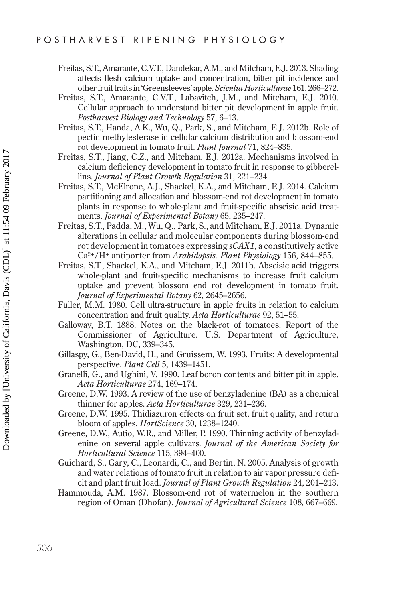- Freitas, S.T., Amarante, C.V.T., Dandekar, A.M., and Mitcham, E.J. 2013. Shading affects flesh calcium uptake and concentration, bitter pit incidence and other fruit traits in 'Greensleeves' apple. *Scientia Horticulturae* 161, 266–272.
- Freitas, S.T., Amarante, C.V.T., Labavitch, J.M., and Mitcham, E.J. 2010. Cellular approach to understand bitter pit development in apple fruit. *Postharvest Biology and Technology* 57, 6–13.
- Freitas, S.T., Handa, A.K., Wu, Q., Park, S., and Mitcham, E.J. 2012b. Role of pectin methylesterase in cellular calcium distribution and blossom-end rot development in tomato fruit. *Plant Journal* 71, 824–835.
- Freitas, S.T., Jiang, C.Z., and Mitcham, E.J. 2012a. Mechanisms involved in calcium deficiency development in tomato fruit in response to gibberellins. *Journal of Plant Growth Regulation* 31, 221–234.
- Freitas, S.T., McElrone, A.J., Shackel, K.A., and Mitcham, E.J. 2014. Calcium partitioning and allocation and blossom-end rot development in tomato plants in response to whole-plant and fruit-specific abscisic acid treatments. *Journal of Experimental Botany* 65, 235–247.
- Freitas, S.T., Padda, M., Wu, Q., Park, S., and Mitcham, E.J. 2011a. Dynamic alterations in cellular and molecular components during blossom-end rot development in tomatoes expressing *sCAX1*, a constitutively active Ca2+/H+ antiporter from *Arabidopsis*. *Plant Physiology* 156, 844–855.
- Freitas, S.T., Shackel, K.A., and Mitcham, E.J. 2011b. Abscisic acid triggers whole-plant and fruit-specific mechanisms to increase fruit calcium uptake and prevent blossom end rot development in tomato fruit. *Journal of Experimental Botany* 62, 2645–2656.
- Fuller, M.M. 1980. Cell ultra-structure in apple fruits in relation to calcium concentration and fruit quality. *Acta Horticulturae* 92, 51–55.
- Galloway, B.T. 1888. Notes on the black-rot of tomatoes. Report of the Commissioner of Agriculture. U.S. Department of Agriculture, Washington, DC, 339–345.
- Gillaspy, G., Ben-David, H., and Gruissem, W. 1993. Fruits: A developmental perspective. *Plant Cell* 5, 1439–1451.
- Granelli, G., and Ughini, V. 1990. Leaf boron contents and bitter pit in apple. *Acta Horticulturae* 274, 169–174.
- Greene, D.W. 1993. A review of the use of benzyladenine (BA) as a chemical thinner for apples. *Acta Horticulturae* 329, 231–236.
- Greene, D.W. 1995. Thidiazuron effects on fruit set, fruit quality, and return bloom of apples. *HortScience* 30, 1238–1240.
- Greene, D.W., Autio, W.R., and Miller, P. 1990. Thinning activity of benzyladenine on several apple cultivars. *Journal of the American Society for Horticultural Science* 115, 394–400.
- Guichard, S., Gary, C., Leonardi, C., and Bertin, N. 2005. Analysis of growth and water relations of tomato fruit in relation to air vapor pressure deficit and plant fruit load. *Journal of Plant Growth Regulation* 24, 201–213.
- Hammouda, A.M. 1987. Blossom-end rot of watermelon in the southern region of Oman (Dhofan). *Journal of Agricultural Science* 108, 667–669.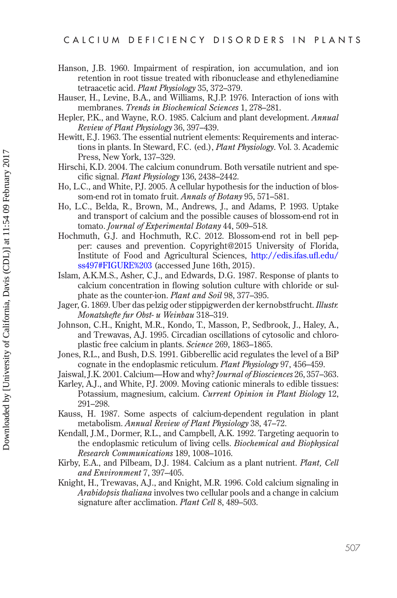- Hanson, J.B. 1960. Impairment of respiration, ion accumulation, and ion retention in root tissue treated with ribonuclease and ethylenediamine tetraacetic acid. Plant Physiology 35, 372-379.
- Hauser, H., Levine, B.A., and Williams, R.J.P. 1976. Interaction of ions with membranes. Trends in Biochemical Sciences 1, 278-281.
- Hepler, P.K., and Wayne, R.O. 1985. Calcium and plant development. Annual Review of Plant Physiology 36, 397-439.
- Hewitt, E.J. 1963. The essential nutrient elements: Requirements and interactions in plants. In Steward, F.C. (ed.), Plant Physiology. Vol. 3. Academic Press, New York, 137-329.
- Hirschi, K.D. 2004. The calcium conundrum. Both versatile nutrient and specific signal. Plant Physiology 136, 2438-2442.
- Ho, L.C., and White, P.J. 2005. A cellular hypothesis for the induction of blossom-end rot in tomato fruit. Annals of Botany 95, 571-581.
- Ho, L.C., Belda, R., Brown, M., Andrews, J., and Adams, P. 1993. Uptake and transport of calcium and the possible causes of blossom-end rot in tomato. Journal of Experimental Botany 44, 509-518.
- Hochmuth, G.J. and Hochmuth, R.C. 2012. Blossom-end rot in bell pepper: causes and prevention. Copyright@2015 University of Florida, Institute of Food and Agricultural Sciences, http://edis.ifas.ufl.edu/ ss497#FIGURE%203 (accessed June 16th, 2015).
- Islam, A.K.M.S., Asher, C.J., and Edwards, D.G. 1987. Response of plants to calcium concentration in flowing solution culture with chloride or sulphate as the counter-ion. Plant and Soil 98, 377-395.
- Jager, G. 1869. Uber das pelzig oder stippigwerden der kernobstfrucht. Illustr. Monatshefte fur Obst- u Weinbau 318–319.
- Johnson, C.H., Knight, M.R., Kondo, T., Masson, P., Sedbrook, J., Haley, A., and Trewavas, A.J. 1995. Circadian oscillations of cytosolic and chloroplastic free calcium in plants. Science 269, 1863–1865.
- Jones, R.L., and Bush, D.S. 1991. Gibberellic acid regulates the level of a BiP cognate in the endoplasmic reticulum. Plant Physiology 97, 456-459.
- Jaiswal, J.K. 2001. Calcium-How and why? Journal of Biosciences 26, 357-363.
- Karley, A.J., and White, P.J. 2009. Moving cationic minerals to edible tissues: Potassium, magnesium, calcium. Current Opinion in Plant Biology 12, 291-298.
- Kauss, H. 1987. Some aspects of calcium-dependent regulation in plant metabolism. Annual Review of Plant Physiology 38, 47–72.
- Kendall, J.M., Dormer, R.L., and Campbell, A.K. 1992. Targeting aequorin to the endoplasmic reticulum of living cells. *Biochemical and Biophysical* Research Communications 189, 1008-1016.
- Kirby, E.A., and Pilbeam, D.J. 1984. Calcium as a plant nutrient. *Plant, Cell* and Environment 7, 397-405.
- Knight, H., Trewavas, A.J., and Knight, M.R. 1996. Cold calcium signaling in Arabidopsis thaliana involves two cellular pools and a change in calcium signature after acclimation. Plant Cell 8, 489–503.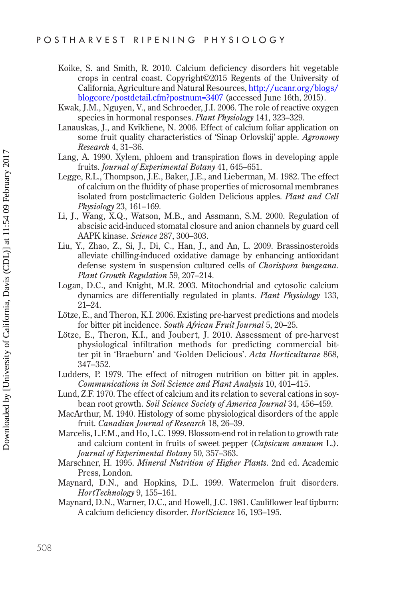- Koike, S. and Smith, R. 2010. Calcium deficiency disorders hit vegetable crops in central coast. Copyright©2015 Regents of the University of California, Agriculture and Natural Resources, [http://ucanr.org/blogs/](http://ucanr.org) [blogcore/postdetail.cfm?postnum=3407](http://ucanr.org) (accessed June 16th, 2015).
- Kwak, J.M., Nguyen, V., and Schroeder, J.I. 2006. The role of reactive oxygen species in hormonal responses. *Plant Physiology* 141, 323–329.
- Lanauskas, J., and Kvikliene, N. 2006. Effect of calcium foliar application on some fruit quality characteristics of 'Sinap Orlovskij' apple. *Agronomy Research* 4, 31–36.
- Lang, A. 1990. Xylem, phloem and transpiration flows in developing apple fruits. *Journal of Experimental Botany* 41, 645–651.
- Legge, R.L., Thompson, J.E., Baker, J.E., and Lieberman, M. 1982. The effect of calcium on the fluidity of phase properties of microsomal membranes isolated from postclimacteric Golden Delicious apples. *Plant and Cell Physiology* 23, 161–169.
- Li, J., Wang, X.Q., Watson, M.B., and Assmann, S.M. 2000. Regulation of abscisic acid-induced stomatal closure and anion channels by guard cell AAPK kinase. *Science* 287, 300–303.
- Liu, Y., Zhao, Z., Si, J., Di, C., Han, J., and An, L. 2009. Brassinosteroids alleviate chilling-induced oxidative damage by enhancing antioxidant defense system in suspension cultured cells of *Chorispora bungeana*. *Plant Growth Regulation* 59, 207–214.
- Logan, D.C., and Knight, M.R. 2003. Mitochondrial and cytosolic calcium dynamics are differentially regulated in plants. *Plant Physiology* 133, 21–24.
- Lötze, E., and Theron, K.I. 2006. Existing pre-harvest predictions and models for bitter pit incidence. *South African Fruit Journal* 5, 20–25.
- Lötze, E., Theron, K.I., and Joubert, J. 2010. Assessment of pre-harvest physiological infiltration methods for predicting commercial bitter pit in 'Braeburn' and 'Golden Delicious'. *Acta Horticulturae* 868, 347–352.
- Ludders, P. 1979. The effect of nitrogen nutrition on bitter pit in apples. *Communications in Soil Science and Plant Analysis* 10, 401–415.
- Lund, Z.F. 1970. The effect of calcium and its relation to several cations in soybean root growth. *Soil Science Society of America Journal* 34, 456–459.
- MacArthur, M. 1940. Histology of some physiological disorders of the apple fruit. *Canadian Journal of Research* 18, 26–39.
- Marcelis, L.F.M., and Ho, L.C. 1999. Blossom-end rot in relation to growth rate and calcium content in fruits of sweet pepper (*Capsicum annuum* L.). *Journal of Experimental Botany* 50, 357–363.
- Marschner, H. 1995. *Mineral Nutrition of Higher Plants*. 2nd ed. Academic Press, London.
- Maynard, D.N., and Hopkins, D.L. 1999. Watermelon fruit disorders. *HortTechnology* 9, 155–161.
- Maynard, D.N., Warner, D.C., and Howell, J.C. 1981. Cauliflower leaf tipburn: A calcium deficiency disorder. *HortScience* 16, 193–195.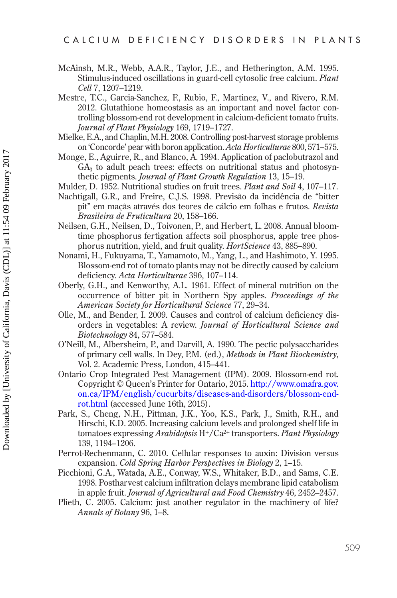- McAinsh, M.R., Webb, A.A.R., Taylor, J.E., and Hetherington, A.M. 1995. Stimulus-induced oscillations in guard-cell cytosolic free calcium. Plant Cell 7, 1207-1219.
- Mestre, T.C., Garcia-Sanchez, F., Rubio, F., Martinez, V., and Rivero, R.M. 2012. Glutathione homeostasis as an important and novel factor controlling blossom-end rot development in calcium-deficient tomato fruits. Journal of Plant Physiology 169, 1719–1727.
- Mielke, E.A., and Chaplin, M.H. 2008. Controlling post-harvest storage problems on 'Concorde' pear with boron application. Acta Horticulturae 800, 571-575.
- Monge, E., Aguirre, R., and Blanco, A. 1994. Application of paclobutrazol and  $GA<sub>3</sub>$  to adult peach trees: effects on nutritional status and photosynthetic pigments. Journal of Plant Growth Regulation 13, 15-19.
- Mulder, D. 1952. Nutritional studies on fruit trees. Plant and Soil 4, 107-117.
- Nachtigall, G.R., and Freire, C.J.S. 1998. Previsão da incidência de "bitter pit" em maçãs através dos teores de cálcio em folhas e frutos. Revista Brasileira de Fruticultura 20, 158-166.
- Neilsen, G.H., Neilsen, D., Toivonen, P., and Herbert, L. 2008. Annual bloomtime phosphorus fertigation affects soil phosphorus, apple tree phosphorus nutrition, yield, and fruit quality. *HortScience* 43, 885–890.
- Nonami, H., Fukuyama, T., Yamamoto, M., Yang, L., and Hashimoto, Y. 1995. Blossom-end rot of tomato plants may not be directly caused by calcium deficiency. Acta Horticulturae 396, 107-114.
- Oberly, G.H., and Kenworthy, A.L. 1961. Effect of mineral nutrition on the occurrence of bitter pit in Northern Spy apples. Proceedings of the American Society for Horticultural Science 77, 29-34.
- Olle, M., and Bender, I. 2009. Causes and control of calcium deficiency disorders in vegetables: A review. Journal of Horticultural Science and Biotechnology 84, 577-584.
- O'Neill, M., Albersheim, P., and Darvill, A. 1990. The pectic polysaccharides of primary cell walls. In Dey, P.M. (ed.), Methods in Plant Biochemistry, Vol. 2. Academic Press, London, 415–441.
- Ontario Crop Integrated Pest Management (IPM). 2009. Blossom-end rot. Copyright © Queen's Printer for Ontario, 2015. http://www.omafra.gov. on.ca/IPM/english/cucurbits/diseases-and-disorders/blossom-endrot.html (accessed June 16th, 2015).
- Park, S., Cheng, N.H., Pittman, J.K., Yoo, K.S., Park, J., Smith, R.H., and Hirschi, K.D. 2005. Increasing calcium levels and prolonged shelf life in tomatoes expressing Arabidopsis H+/Ca<sup>2+</sup> transporters. Plant Physiology 139, 1194–1206.
- Perrot-Rechenmann, C. 2010. Cellular responses to auxin: Division versus expansion. Cold Spring Harbor Perspectives in Biology 2, 1-15.
- Picchioni, G.A., Watada, A.E., Conway, W.S., Whitaker, B.D., and Sams, C.E. 1998. Postharvest calcium infiltration delays membrane lipid catabolism in apple fruit. *Journal of Agricultural and Food Chemistry* 46, 2452–2457.
- Plieth, C. 2005. Calcium: just another regulator in the machinery of life? Annals of Botany 96, 1-8.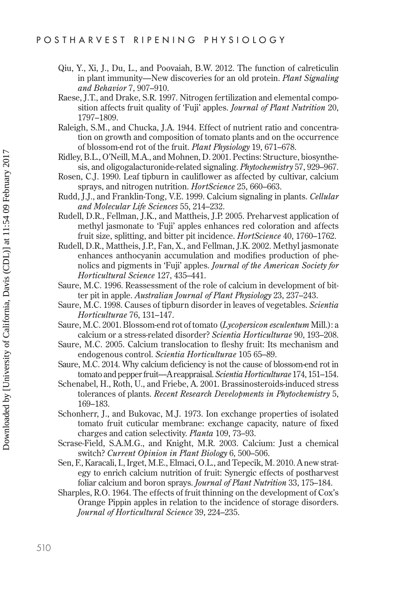- Qiu, Y., Xi, J., Du, L., and Poovaiah, B.W. 2012. The function of calreticulin in plant immunity—New discoveries for an old protein. *Plant Signaling and Behavior* 7, 907–910.
- Raese, J.T., and Drake, S.R. 1997. Nitrogen fertilization and elemental composition affects fruit quality of 'Fuji' apples. *Journal of Plant Nutrition* 20, 1797–1809.
- Raleigh, S.M., and Chucka, J.A. 1944. Effect of nutrient ratio and concentration on growth and composition of tomato plants and on the occurrence of blossom-end rot of the fruit. *Plant Physiology* 19, 671–678.
- Ridley, B.L., O'Neill, M.A., and Mohnen, D. 2001. Pectins: Structure, biosynthesis, and oligogalacturonide-related signaling. *Phytochemistry* 57, 929–967.
- Rosen, C.J. 1990. Leaf tipburn in cauliflower as affected by cultivar, calcium sprays, and nitrogen nutrition. *HortScience* 25, 660–663.
- Rudd, J.J., and Franklin-Tong, V.E. 1999. Calcium signaling in plants. *Cellular and Molecular Life Sciences* 55, 214–232.
- Rudell, D.R., Fellman, J.K., and Mattheis, J.P. 2005. Preharvest application of methyl jasmonate to 'Fuji' apples enhances red coloration and affects fruit size, splitting, and bitter pit incidence. *HortScience* 40, 1760–1762.
- Rudell, D.R., Mattheis, J.P., Fan, X., and Fellman, J.K. 2002. Methyl jasmonate enhances anthocyanin accumulation and modifies production of phenolics and pigments in 'Fuji' apples. *Journal of the American Society for Horticultural Science* 127, 435–441.
- Saure, M.C. 1996. Reassessment of the role of calcium in development of bitter pit in apple. *Australian Journal of Plant Physiology* 23, 237–243.
- Saure, M.C. 1998. Causes of tipburn disorder in leaves of vegetables. *Scientia Horticulturae* 76, 131–147.
- Saure, M.C. 2001. Blossom-end rot of tomato (*Lycopersicon esculentum* Mill.): a calcium or a stress-related disorder? *Scientia Horticulturae* 90, 193–208.
- Saure, M.C. 2005. Calcium translocation to fleshy fruit: Its mechanism and endogenous control. *Scientia Horticulturae* 105 65–89.
- Saure, M.C. 2014. Why calcium deficiency is not the cause of blossom-end rot in tomato and pepper fruit—A reappraisal. *Scientia Horticulturae* 174, 151–154.
- Schenabel, H., Roth, U., and Friebe, A. 2001. Brassinosteroids-induced stress tolerances of plants. *Recent Research Developments in Phytochemistry* 5, 169–183.
- Schonherr, J., and Bukovac, M.J. 1973. Ion exchange properties of isolated tomato fruit cuticular membrane: exchange capacity, nature of fixed charges and cation selectivity. *Planta* 109, 73–93.
- Scrase-Field, S.A.M.G., and Knight, M.R. 2003. Calcium: Just a chemical switch? *Current Opinion in Plant Biology* 6, 500–506.
- Sen, F., Karacali, I., Irget, M.E., Elmaci, O.L., and Tepecik, M. 2010. A new strategy to enrich calcium nutrition of fruit: Synergic effects of postharvest foliar calcium and boron sprays. *Journal of Plant Nutrition* 33, 175–184.
- Sharples, R.O. 1964. The effects of fruit thinning on the development of Cox's Orange Pippin apples in relation to the incidence of storage disorders. *Journal of Horticultural Science* 39, 224–235.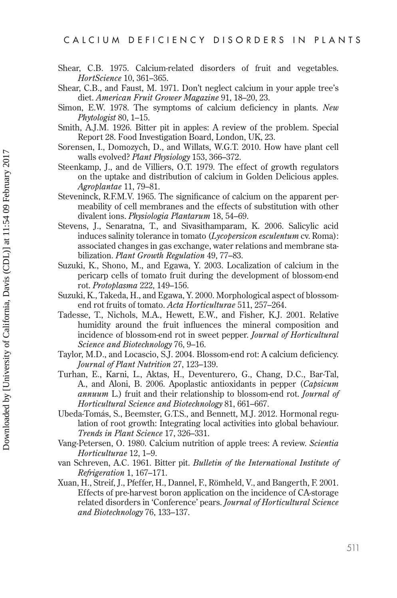- Shear, C.B. 1975. Calcium-related disorders of fruit and vegetables. HortScience 10, 361-365.
- Shear, C.B., and Faust, M. 1971. Don't neglect calcium in your apple tree's diet. American Fruit Grower Magazine 91, 18-20, 23.
- Simon, E.W. 1978. The symptoms of calcium deficiency in plants. New Phytologist 80, 1–15.
- Smith, A.J.M. 1926. Bitter pit in apples: A review of the problem. Special Report 28. Food Investigation Board, London, UK, 23.
- Sorensen, I., Domozych, D., and Willats, W.G.T. 2010. How have plant cell walls evolved? *Plant Physiology* 153, 366–372.
- Steenkamp, J., and de Villiers, O.T. 1979. The effect of growth regulators on the uptake and distribution of calcium in Golden Delicious apples. Agroplantae 11, 79–81.
- Steveninck, R.F.M.V. 1965. The significance of calcium on the apparent permeability of cell membranes and the effects of substitution with other divalent ions. Physiologia Plantarum 18, 54–69.
- Stevens, J., Senaratna, T., and Sivasithamparam, K. 2006. Salicylic acid induces salinity tolerance in tomato (Lycopersicon esculentum cv. Roma): associated changes in gas exchange, water relations and membrane stabilization. Plant Growth Regulation 49, 77–83.
- Suzuki, K., Shono, M., and Egawa, Y. 2003. Localization of calcium in the pericarp cells of tomato fruit during the development of blossom-end rot. Protoplasma 222, 149-156.
- Suzuki, K., Takeda, H., and Egawa, Y. 2000. Morphological aspect of blossomend rot fruits of tomato. Acta Horticulturae 511, 257-264.
- Tadesse, T., Nichols, M.A., Hewett, E.W., and Fisher, K.J. 2001. Relative humidity around the fruit influences the mineral composition and incidence of blossom-end rot in sweet pepper. Journal of Horticultural Science and Biotechnology 76, 9-16.
- Taylor, M.D., and Locascio, S.J. 2004. Blossom-end rot: A calcium deficiency. Journal of Plant Nutrition 27, 123-139.
- Turhan, E., Karni, L., Aktas, H., Deventurero, G., Chang, D.C., Bar-Tal, A., and Aloni, B. 2006. Apoplastic antioxidants in pepper (Capsicum annuum L.) fruit and their relationship to blossom-end rot. Journal of Horticultural Science and Biotechnology 81, 661-667.
- Ubeda-Tomás, S., Beemster, G.T.S., and Bennett, M.J. 2012. Hormonal regulation of root growth: Integrating local activities into global behaviour. Trends in Plant Science 17, 326–331.
- Vang-Petersen, O. 1980. Calcium nutrition of apple trees: A review. Scientia Horticulturae 12, 1-9.
- van Schreven, A.C. 1961. Bitter pit. Bulletin of the International Institute of Refrigeration 1, 167-171.
- Xuan, H., Streif, J., Pfeffer, H., Dannel, F., Römheld, V., and Bangerth, F. 2001. Effects of pre-harvest boron application on the incidence of CA-storage related disorders in 'Conference' pears. Journal of Horticultural Science and Biotechnology 76, 133-137.